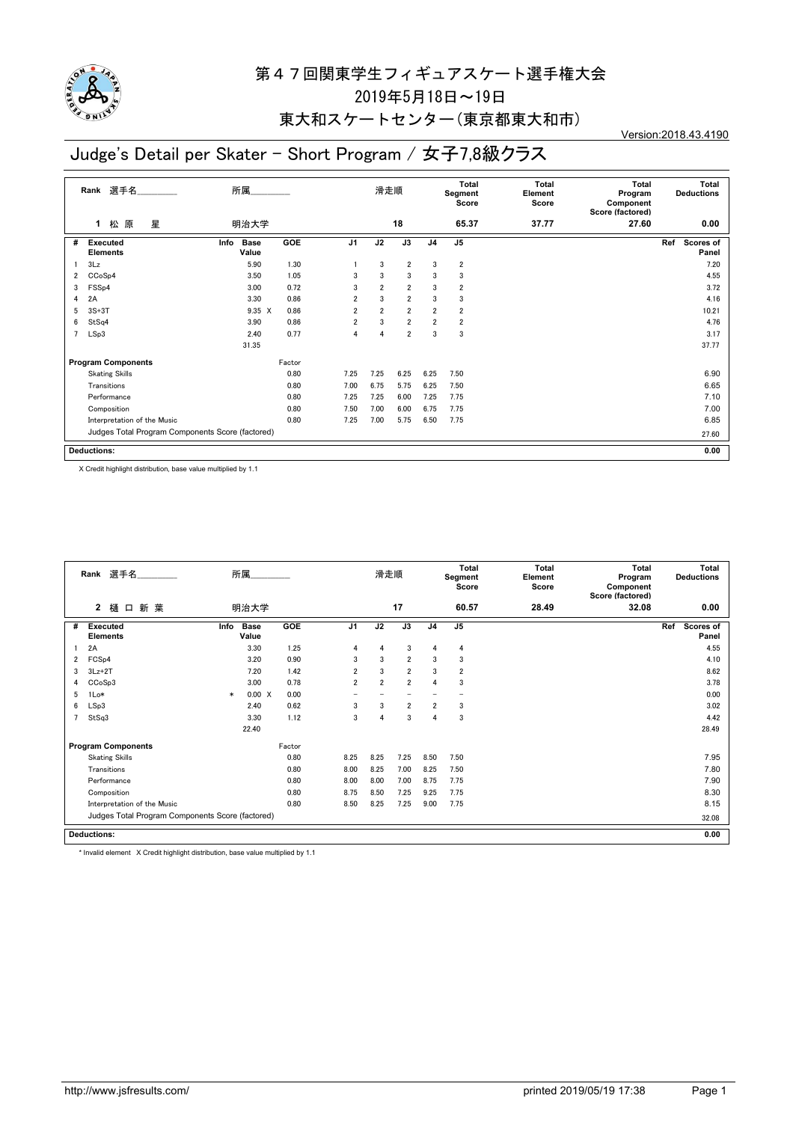

#### 東大和スケートセンター(東京都東大和市)

Version:2018.43.4190

### Judge's Detail per Skater - Short Program / 女子7,8級クラス

|                | 選手名<br>Rank                                      | 所属                           |        |                | 滑走順            |                |                | Total<br>Segment<br>Score | <b>Total</b><br>Element<br>Score | <b>Total</b><br>Program<br>Component<br>Score (factored) | Total<br><b>Deductions</b>       |
|----------------|--------------------------------------------------|------------------------------|--------|----------------|----------------|----------------|----------------|---------------------------|----------------------------------|----------------------------------------------------------|----------------------------------|
|                | 原<br>星<br>松<br>1                                 | 明治大学                         |        |                |                | 18             |                | 65.37                     | 37.77                            | 27.60                                                    | 0.00                             |
| #              | Executed<br><b>Elements</b>                      | <b>Base</b><br>Info<br>Value | GOE    | J <sub>1</sub> | J2             | J3             | J <sub>4</sub> | J <sub>5</sub>            |                                  |                                                          | Ref<br><b>Scores of</b><br>Panel |
|                | 3Lz                                              | 5.90                         | 1.30   |                | 3              | $\overline{2}$ | 3              | $\overline{\mathbf{2}}$   |                                  |                                                          | 7.20                             |
| 2              | CCoSp4                                           | 3.50                         | 1.05   | 3              | 3              | 3              | 3              | 3                         |                                  |                                                          | 4.55                             |
| 3              | FSS <sub>p4</sub>                                | 3.00                         | 0.72   | 3              | $\overline{2}$ | $\overline{2}$ | 3              | $\overline{\mathbf{2}}$   |                                  |                                                          | 3.72                             |
| 4              | 2A                                               | 3.30                         | 0.86   | $\overline{2}$ | 3              | $\overline{2}$ | 3              | 3                         |                                  |                                                          | 4.16                             |
| 5              | $3S+3T$                                          | $9.35 \times$                | 0.86   | $\overline{2}$ | $\overline{2}$ | $\overline{2}$ | $\overline{2}$ | $\overline{\mathbf{2}}$   |                                  |                                                          | 10.21                            |
| 6              | StSq4                                            | 3.90                         | 0.86   | $\overline{2}$ | 3              | $\overline{2}$ | $\overline{2}$ | $\overline{\mathbf{2}}$   |                                  |                                                          | 4.76                             |
| $\overline{7}$ | LSp3                                             | 2.40                         | 0.77   | 4              | $\overline{4}$ | $\overline{2}$ | 3              | 3                         |                                  |                                                          | 3.17                             |
|                |                                                  | 31.35                        |        |                |                |                |                |                           |                                  |                                                          | 37.77                            |
|                | <b>Program Components</b>                        |                              | Factor |                |                |                |                |                           |                                  |                                                          |                                  |
|                | <b>Skating Skills</b>                            |                              | 0.80   | 7.25           | 7.25           | 6.25           | 6.25           | 7.50                      |                                  |                                                          | 6.90                             |
|                | Transitions                                      |                              | 0.80   | 7.00           | 6.75           | 5.75           | 6.25           | 7.50                      |                                  |                                                          | 6.65                             |
|                | Performance                                      |                              | 0.80   | 7.25           | 7.25           | 6.00           | 7.25           | 7.75                      |                                  |                                                          | 7.10                             |
|                | Composition                                      |                              | 0.80   | 7.50           | 7.00           | 6.00           | 6.75           | 7.75                      |                                  |                                                          | 7.00                             |
|                | Interpretation of the Music                      |                              | 0.80   | 7.25           | 7.00           | 5.75           | 6.50           | 7.75                      |                                  |                                                          | 6.85                             |
|                | Judges Total Program Components Score (factored) |                              |        |                |                |                |                |                           |                                  |                                                          | 27.60                            |
|                | <b>Deductions:</b>                               |                              |        |                |                |                |                |                           |                                  |                                                          | 0.00                             |

X Credit highlight distribution, base value multiplied by 1.1

|   | Rank 選手名                                         |        | 所属                   |        |                          | 滑走順            |                          |                | Total<br>Segment<br>Score | <b>Total</b><br>Element<br>Score | Total<br>Program<br>Component<br>Score (factored) | <b>Deductions</b>       | Total |
|---|--------------------------------------------------|--------|----------------------|--------|--------------------------|----------------|--------------------------|----------------|---------------------------|----------------------------------|---------------------------------------------------|-------------------------|-------|
|   | 新 葉<br>2<br>樋<br>$\Box$                          |        | 明治大学                 |        |                          |                | 17                       |                | 60.57                     | 28.49                            | 32.08                                             |                         | 0.00  |
| # | <b>Executed</b><br><b>Elements</b>               | Info   | <b>Base</b><br>Value | GOE    | J <sub>1</sub>           | J2             | J3                       | J <sub>4</sub> | J <sub>5</sub>            |                                  |                                                   | Ref<br><b>Scores of</b> | Panel |
|   | 2A                                               |        | 3.30                 | 1.25   | 4                        | 4              | 3                        | 4              | 4                         |                                  |                                                   |                         | 4.55  |
| 2 | FCS <sub>p4</sub>                                |        | 3.20                 | 0.90   | 3                        | 3              | $\overline{2}$           | 3              | 3                         |                                  |                                                   |                         | 4.10  |
| 3 | $3Lz + 2T$                                       |        | 7.20                 | 1.42   | 2                        | 3              | $\overline{2}$           | 3              | $\overline{2}$            |                                  |                                                   |                         | 8.62  |
| 4 | CCoSp3                                           |        | 3.00                 | 0.78   | $\overline{2}$           | $\overline{2}$ | $\overline{2}$           | $\overline{4}$ | 3                         |                                  |                                                   |                         | 3.78  |
| 5 | 1Lo*                                             | $\ast$ | 0.00 X               | 0.00   | $\overline{\phantom{0}}$ |                | $\overline{\phantom{0}}$ |                |                           |                                  |                                                   |                         | 0.00  |
| 6 | LSp3                                             |        | 2.40                 | 0.62   | 3                        | 3              | $\overline{2}$           | $\overline{2}$ | 3                         |                                  |                                                   |                         | 3.02  |
|   | StSq3                                            |        | 3.30                 | 1.12   | 3                        | $\overline{4}$ | 3                        | $\overline{4}$ | 3                         |                                  |                                                   |                         | 4.42  |
|   |                                                  |        | 22.40                |        |                          |                |                          |                |                           |                                  |                                                   |                         | 28.49 |
|   | <b>Program Components</b>                        |        |                      | Factor |                          |                |                          |                |                           |                                  |                                                   |                         |       |
|   | <b>Skating Skills</b>                            |        |                      | 0.80   | 8.25                     | 8.25           | 7.25                     | 8.50           | 7.50                      |                                  |                                                   |                         | 7.95  |
|   | Transitions                                      |        |                      | 0.80   | 8.00                     | 8.25           | 7.00                     | 8.25           | 7.50                      |                                  |                                                   |                         | 7.80  |
|   | Performance                                      |        |                      | 0.80   | 8.00                     | 8.00           | 7.00                     | 8.75           | 7.75                      |                                  |                                                   |                         | 7.90  |
|   | Composition                                      |        |                      | 0.80   | 8.75                     | 8.50           | 7.25                     | 9.25           | 7.75                      |                                  |                                                   |                         | 8.30  |
|   | Interpretation of the Music                      |        |                      | 0.80   | 8.50                     | 8.25           | 7.25                     | 9.00           | 7.75                      |                                  |                                                   |                         | 8.15  |
|   | Judges Total Program Components Score (factored) |        |                      |        |                          |                |                          |                |                           |                                  |                                                   | 32.08                   |       |
|   | <b>Deductions:</b>                               |        |                      |        |                          |                |                          |                |                           |                                  |                                                   |                         | 0.00  |

\* Invalid element X Credit highlight distribution, base value multiplied by 1.1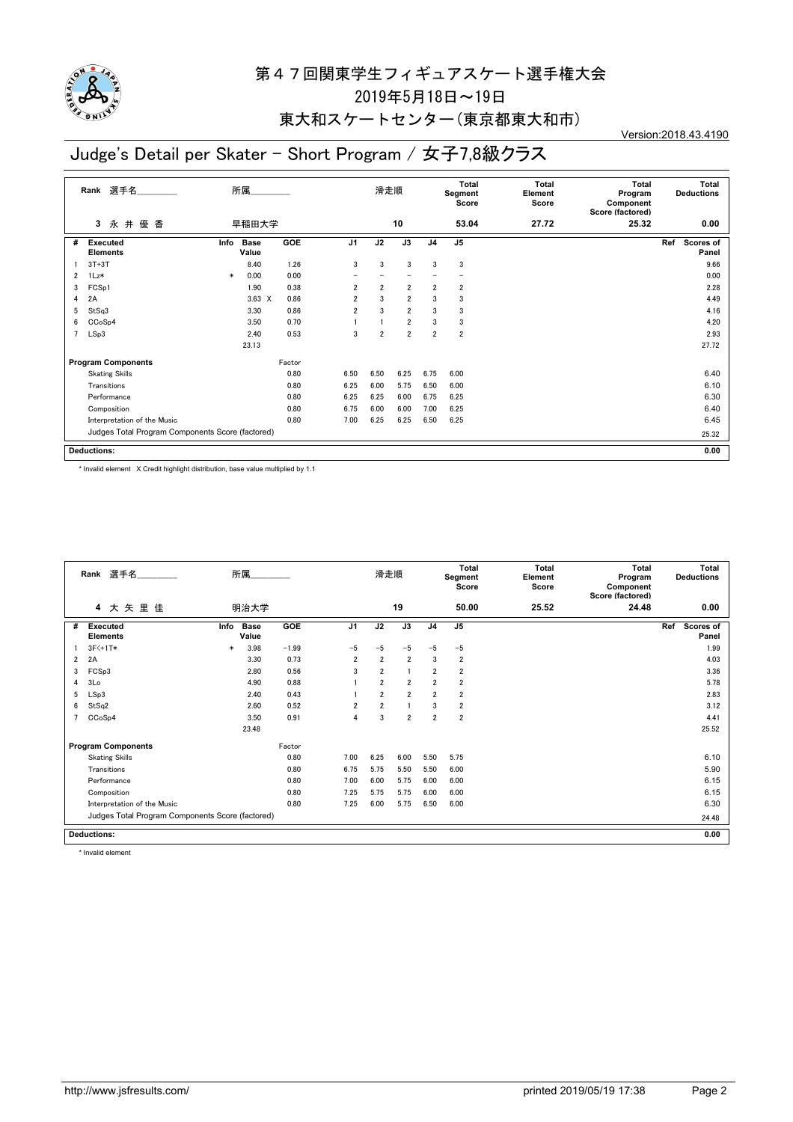

### 東大和スケートセンター(東京都東大和市)

Version:2018.43.4190

# Judge's Detail per Skater - Short Program / 女子7,8級クラス

|   | 選手名<br>Rank                                      |        | 所属                   |            |                | 滑走順            |                |                | Total<br>Segment<br>Score | <b>Total</b><br>Element<br>Score | <b>Total</b><br>Program<br>Component<br>Score (factored) | Total<br><b>Deductions</b> |
|---|--------------------------------------------------|--------|----------------------|------------|----------------|----------------|----------------|----------------|---------------------------|----------------------------------|----------------------------------------------------------|----------------------------|
|   | 優 香<br>永井<br>3                                   |        | 早稲田大学                |            |                |                | 10             |                | 53.04                     | 27.72                            | 25.32                                                    | 0.00                       |
| # | <b>Executed</b><br><b>Elements</b>               | Info   | <b>Base</b><br>Value | <b>GOE</b> | J <sub>1</sub> | J2             | J3             | J <sub>4</sub> | J <sub>5</sub>            |                                  |                                                          | Ref<br>Scores of<br>Panel  |
|   | $3T+3T$                                          |        | 8.40                 | 1.26       | 3              | 3              | 3              | 3              | 3                         |                                  |                                                          | 9.66                       |
| 2 | 1Lz*                                             | $\ast$ | 0.00                 | 0.00       |                |                |                |                |                           |                                  |                                                          | 0.00                       |
| 3 | FCSp1                                            |        | 1.90                 | 0.38       | $\overline{2}$ | $\overline{2}$ | $\overline{2}$ | $\overline{2}$ | 2                         |                                  |                                                          | 2.28                       |
| 4 | 2A                                               |        | $3.63 \times$        | 0.86       | $\overline{2}$ | 3              | $\overline{2}$ | 3              | 3                         |                                  |                                                          | 4.49                       |
| 5 | StSq3                                            |        | 3.30                 | 0.86       | $\overline{2}$ | 3              | $\overline{2}$ | 3              | 3                         |                                  |                                                          | 4.16                       |
| 6 | CCoSp4                                           |        | 3.50                 | 0.70       |                |                | $\overline{2}$ | 3              | 3                         |                                  |                                                          | 4.20                       |
| 7 | LSp3                                             |        | 2.40                 | 0.53       | 3              | $\overline{2}$ | $\overline{2}$ | $\overline{2}$ | $\overline{2}$            |                                  |                                                          | 2.93                       |
|   |                                                  |        | 23.13                |            |                |                |                |                |                           |                                  |                                                          | 27.72                      |
|   | <b>Program Components</b>                        |        |                      | Factor     |                |                |                |                |                           |                                  |                                                          |                            |
|   | <b>Skating Skills</b>                            |        |                      | 0.80       | 6.50           | 6.50           | 6.25           | 6.75           | 6.00                      |                                  |                                                          | 6.40                       |
|   | Transitions                                      |        |                      | 0.80       | 6.25           | 6.00           | 5.75           | 6.50           | 6.00                      |                                  |                                                          | 6.10                       |
|   | Performance                                      |        |                      | 0.80       | 6.25           | 6.25           | 6.00           | 6.75           | 6.25                      |                                  |                                                          | 6.30                       |
|   | Composition                                      |        |                      | 0.80       | 6.75           | 6.00           | 6.00           | 7.00           | 6.25                      |                                  |                                                          | 6.40                       |
|   | Interpretation of the Music                      |        |                      | 0.80       | 7.00           | 6.25           | 6.25           | 6.50           | 6.25                      |                                  |                                                          | 6.45                       |
|   | Judges Total Program Components Score (factored) |        |                      |            |                |                |                |                |                           |                                  |                                                          | 25.32                      |
|   | <b>Deductions:</b>                               |        |                      |            |                |                |                |                |                           |                                  |                                                          | 0.00                       |

\* Invalid element X Credit highlight distribution, base value multiplied by 1.1

| Rank 選手名<br>所属<br>大矢里佳<br>4 |                                                  |        |                      |         |                | 滑走順            |                |                | <b>Total</b><br>Segment<br>Score | <b>Total</b><br>Element<br>Score | Total<br>Program<br>Component<br>Score (factored) | <b>Total</b><br><b>Deductions</b> |
|-----------------------------|--------------------------------------------------|--------|----------------------|---------|----------------|----------------|----------------|----------------|----------------------------------|----------------------------------|---------------------------------------------------|-----------------------------------|
|                             |                                                  |        | 明治大学                 |         |                |                | 19             |                | 50.00                            | 25.52                            | 24.48                                             | 0.00                              |
| #                           | <b>Executed</b><br><b>Elements</b>               | Info   | <b>Base</b><br>Value | GOE     | J <sub>1</sub> | J2             | J3             | J <sub>4</sub> | J <sub>5</sub>                   |                                  |                                                   | Ref<br><b>Scores of</b><br>Panel  |
|                             | $3F<+1T*$                                        | $\ast$ | 3.98                 | $-1.99$ | $-5$           | $-5$           | $-5$           | $-5$           | $-5$                             |                                  |                                                   | 1.99                              |
| $\overline{2}$              | 2A                                               |        | 3.30                 | 0.73    | $\overline{2}$ | $\overline{2}$ | $\overline{2}$ | 3              | $\overline{2}$                   |                                  |                                                   | 4.03                              |
| 3                           | FCSp3                                            |        | 2.80                 | 0.56    | 3              | $\overline{2}$ | 1              | $\overline{2}$ | $\overline{2}$                   |                                  |                                                   | 3.36                              |
| 4                           | 3Lo                                              |        | 4.90                 | 0.88    |                | $\overline{2}$ | $\overline{2}$ | $\overline{2}$ | $\overline{2}$                   |                                  |                                                   | 5.78                              |
| 5                           | LSp3                                             |        | 2.40                 | 0.43    |                | $\overline{2}$ | $\overline{2}$ | $\overline{2}$ | $\overline{2}$                   |                                  |                                                   | 2.83                              |
| 6                           | StSq2                                            |        | 2.60                 | 0.52    | 2              | $\overline{2}$ |                | 3              | $\overline{2}$                   |                                  |                                                   | 3.12                              |
|                             | CCoSp4                                           |        | 3.50                 | 0.91    | $\overline{4}$ | 3              | $\overline{2}$ | $\overline{2}$ | $\overline{2}$                   |                                  |                                                   | 4.41                              |
|                             |                                                  |        | 23.48                |         |                |                |                |                |                                  |                                  |                                                   | 25.52                             |
|                             | <b>Program Components</b>                        |        |                      | Factor  |                |                |                |                |                                  |                                  |                                                   |                                   |
|                             | <b>Skating Skills</b>                            |        |                      | 0.80    | 7.00           | 6.25           | 6.00           | 5.50           | 5.75                             |                                  |                                                   | 6.10                              |
|                             | Transitions                                      |        |                      | 0.80    | 6.75           | 5.75           | 5.50           | 5.50           | 6.00                             |                                  |                                                   | 5.90                              |
|                             | Performance                                      |        |                      | 0.80    | 7.00           | 6.00           | 5.75           | 6.00           | 6.00                             |                                  |                                                   | 6.15                              |
|                             | Composition                                      |        |                      | 0.80    | 7.25           | 5.75           | 5.75           | 6.00           | 6.00                             |                                  |                                                   | 6.15                              |
|                             | Interpretation of the Music                      |        |                      | 0.80    | 7.25           | 6.00           | 5.75           | 6.50           | 6.00                             |                                  |                                                   | 6.30                              |
|                             | Judges Total Program Components Score (factored) |        |                      |         |                |                |                |                |                                  |                                  |                                                   | 24.48                             |
|                             | <b>Deductions:</b>                               |        |                      |         |                |                |                |                |                                  |                                  |                                                   | 0.00                              |

\* Invalid element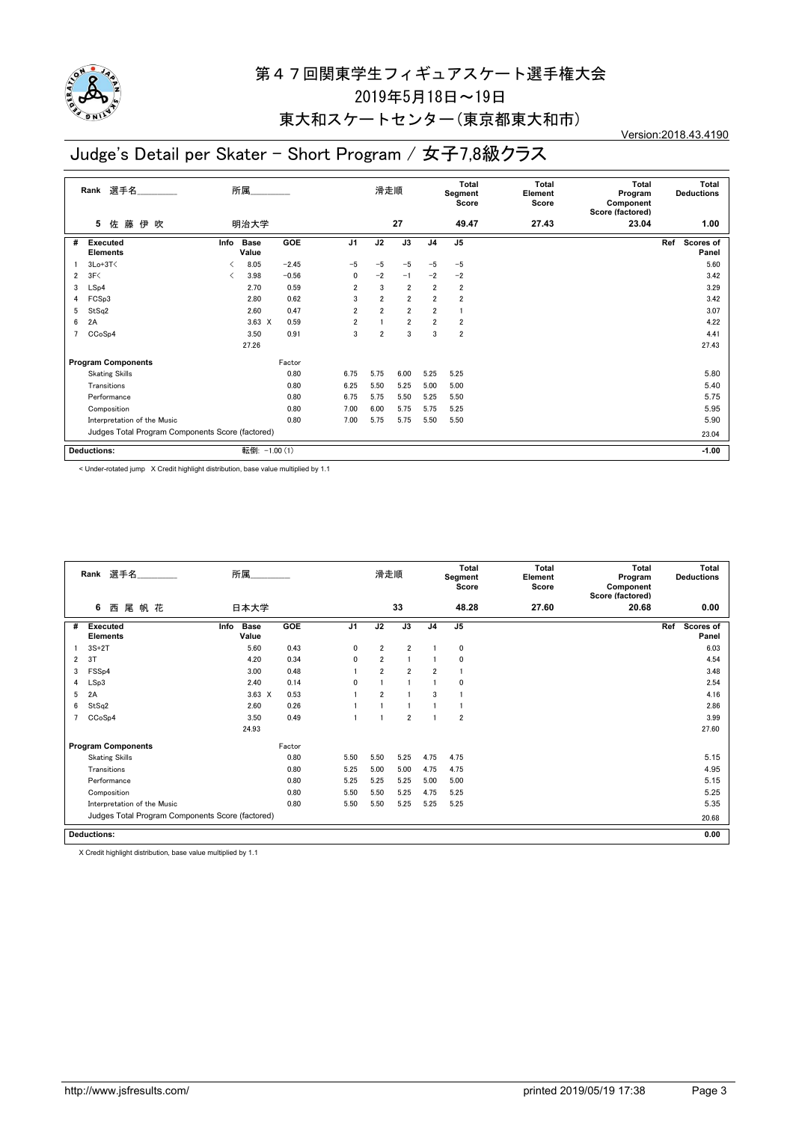

### 東大和スケートセンター(東京都東大和市)

Version:2018.43.4190

### Judge's Detail per Skater - Short Program / 女子7,8級クラス

|   | 選手名<br>Rank                                      |      | 所属            |         |                | 滑走順            |                |                | Total<br>Segment<br>Score | Total<br>Element<br>Score | <b>Total</b><br>Program<br>Component<br>Score (factored) | <b>Total</b><br><b>Deductions</b> |
|---|--------------------------------------------------|------|---------------|---------|----------------|----------------|----------------|----------------|---------------------------|---------------------------|----------------------------------------------------------|-----------------------------------|
|   | 藤<br>佐<br>伊吹<br>5                                |      | 明治大学          |         |                |                | 27             |                | 49.47                     | 27.43                     | 23.04                                                    | 1.00                              |
| # | <b>Executed</b><br><b>Elements</b>               | Info | Base<br>Value | GOE     | J <sub>1</sub> | J2             | J3             | J <sub>4</sub> | J <sub>5</sub>            |                           |                                                          | Ref<br><b>Scores of</b><br>Panel  |
|   | $3Lo+3T<$                                        | ≺    | 8.05          | $-2.45$ | $-5$           | $-5$           | $-5$           | $-5$           | $-5$                      |                           |                                                          | 5.60                              |
| 2 | 3F<                                              | ≺    | 3.98          | $-0.56$ | 0              | $-2$           | $-1$           | $-2$           | $-2$                      |                           |                                                          | 3.42                              |
| 3 | LSp4                                             |      | 2.70          | 0.59    | $\overline{2}$ | 3              | $\overline{2}$ | $\overline{2}$ | $\overline{2}$            |                           |                                                          | 3.29                              |
| 4 | FCSp3                                            |      | 2.80          | 0.62    | 3              | $\overline{2}$ | $\overline{2}$ | $\overline{2}$ | $\overline{2}$            |                           |                                                          | 3.42                              |
| 5 | StSq2                                            |      | 2.60          | 0.47    | $\overline{2}$ | $\overline{2}$ | $\overline{2}$ | $\overline{2}$ | 1                         |                           |                                                          | 3.07                              |
| 6 | 2A                                               |      | $3.63 \times$ | 0.59    | $\overline{2}$ |                | $\overline{2}$ | $\overline{2}$ | $\overline{2}$            |                           |                                                          | 4.22                              |
|   | CC <sub>o</sub> S <sub>p4</sub>                  |      | 3.50          | 0.91    | 3              | $\overline{2}$ | 3              | 3              | $\overline{2}$            |                           |                                                          | 4.41                              |
|   |                                                  |      | 27.26         |         |                |                |                |                |                           |                           |                                                          | 27.43                             |
|   | <b>Program Components</b>                        |      |               | Factor  |                |                |                |                |                           |                           |                                                          |                                   |
|   | <b>Skating Skills</b>                            |      |               | 0.80    | 6.75           | 5.75           | 6.00           | 5.25           | 5.25                      |                           |                                                          | 5.80                              |
|   | Transitions                                      |      |               | 0.80    | 6.25           | 5.50           | 5.25           | 5.00           | 5.00                      |                           |                                                          | 5.40                              |
|   | Performance                                      |      |               | 0.80    | 6.75           | 5.75           | 5.50           | 5.25           | 5.50                      |                           |                                                          | 5.75                              |
|   | Composition                                      |      |               | 0.80    | 7.00           | 6.00           | 5.75           | 5.75           | 5.25                      |                           |                                                          | 5.95                              |
|   | Interpretation of the Music                      |      |               | 0.80    | 7.00           | 5.75           | 5.75           | 5.50           | 5.50                      |                           |                                                          | 5.90                              |
|   | Judges Total Program Components Score (factored) |      |               |         |                |                |                |                |                           |                           | 23.04                                                    |                                   |
|   | <b>Deductions:</b>                               |      | 転倒: -1.00 (1) |         |                |                |                |                |                           |                           |                                                          | $-1.00$                           |

< Under-rotated jump X Credit highlight distribution, base value multiplied by 1.1

|   | Rank 選手名                                         | 所属                           |            |                | 滑走順            |                |                | <b>Total</b><br>Segment<br>Score | <b>Total</b><br>Element<br>Score | <b>Total</b><br>Program<br>Component<br>Score (factored) | Total<br><b>Deductions</b> |
|---|--------------------------------------------------|------------------------------|------------|----------------|----------------|----------------|----------------|----------------------------------|----------------------------------|----------------------------------------------------------|----------------------------|
|   | 尾帆花<br>6<br>西                                    | 日本大学                         |            |                |                | 33             |                | 48.28                            | 27.60                            | 20.68                                                    | 0.00                       |
| # | <b>Executed</b><br><b>Elements</b>               | Info<br><b>Base</b><br>Value | <b>GOE</b> | J <sub>1</sub> | J2             | J3             | J <sub>4</sub> | J <sub>5</sub>                   |                                  |                                                          | Ref<br>Scores of<br>Panel  |
|   | $3S+2T$                                          | 5.60                         | 0.43       | 0              | $\overline{2}$ | $\overline{2}$ |                | 0                                |                                  |                                                          | 6.03                       |
| 2 | 3T                                               | 4.20                         | 0.34       | 0              | $\overline{2}$ |                |                | 0                                |                                  |                                                          | 4.54                       |
| 3 | FSS <sub>p4</sub>                                | 3.00                         | 0.48       |                | $\overline{2}$ | $\overline{2}$ | $\overline{2}$ |                                  |                                  |                                                          | 3.48                       |
| 4 | LSp3                                             | 2.40                         | 0.14       | 0              |                |                |                | $\Omega$                         |                                  |                                                          | 2.54                       |
| 5 | 2A                                               | $3.63 \times$                | 0.53       |                | $\overline{2}$ |                | 3              |                                  |                                  |                                                          | 4.16                       |
| 6 | StSq2                                            | 2.60                         | 0.26       |                |                |                |                |                                  |                                  |                                                          | 2.86                       |
|   | CCoSp4                                           | 3.50                         | 0.49       |                |                | $\overline{2}$ |                | $\overline{2}$                   |                                  |                                                          | 3.99                       |
|   |                                                  | 24.93                        |            |                |                |                |                |                                  |                                  |                                                          | 27.60                      |
|   | <b>Program Components</b>                        |                              | Factor     |                |                |                |                |                                  |                                  |                                                          |                            |
|   | <b>Skating Skills</b>                            |                              | 0.80       | 5.50           | 5.50           | 5.25           | 4.75           | 4.75                             |                                  |                                                          | 5.15                       |
|   | Transitions                                      |                              | 0.80       | 5.25           | 5.00           | 5.00           | 4.75           | 4.75                             |                                  |                                                          | 4.95                       |
|   | Performance                                      |                              | 0.80       | 5.25           | 5.25           | 5.25           | 5.00           | 5.00                             |                                  |                                                          | 5.15                       |
|   | Composition                                      |                              | 0.80       | 5.50           | 5.50           | 5.25           | 4.75           | 5.25                             |                                  |                                                          | 5.25                       |
|   | Interpretation of the Music                      |                              | 0.80       | 5.50           | 5.50           | 5.25           | 5.25           | 5.25                             |                                  |                                                          | 5.35                       |
|   | Judges Total Program Components Score (factored) |                              |            |                |                |                |                |                                  |                                  |                                                          | 20.68                      |
|   | <b>Deductions:</b>                               |                              |            |                |                |                |                |                                  |                                  |                                                          | 0.00                       |

X Credit highlight distribution, base value multiplied by 1.1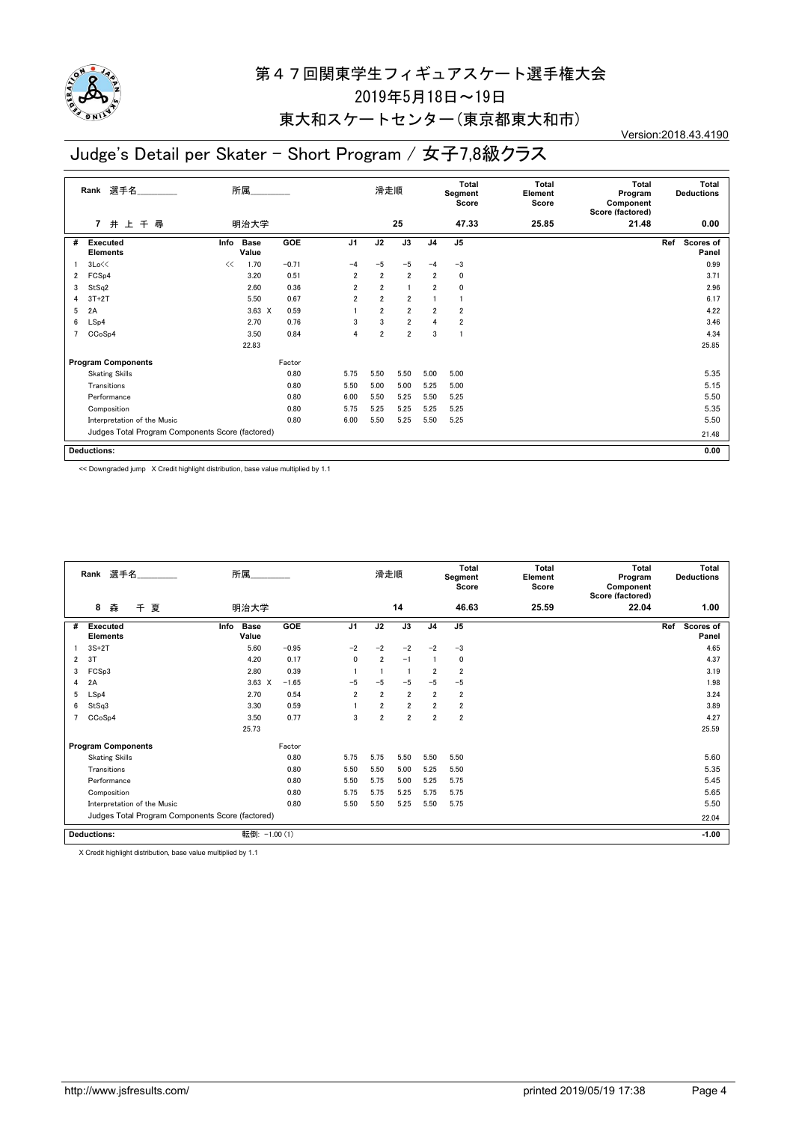

### 東大和スケートセンター(東京都東大和市)

Version:2018.43.4190

### Judge's Detail per Skater - Short Program / 女子7,8級クラス

|   | 選手名<br>Rank                                      |      | 所属                   |         |                | 滑走順            |                |                | Total<br>Segment<br>Score | <b>Total</b><br>Element<br>Score | Total<br>Program<br>Component<br>Score (factored) | Total<br><b>Deductions</b>       |
|---|--------------------------------------------------|------|----------------------|---------|----------------|----------------|----------------|----------------|---------------------------|----------------------------------|---------------------------------------------------|----------------------------------|
|   | 井上千尋<br>$\overline{7}$                           |      | 明治大学                 |         |                |                | 25             |                | 47.33                     | 25.85                            | 21.48                                             | 0.00                             |
| # | Executed<br><b>Elements</b>                      | Info | <b>Base</b><br>Value | GOE     | J <sub>1</sub> | J2             | J3             | J <sub>4</sub> | J <sub>5</sub>            |                                  |                                                   | Ref<br><b>Scores of</b><br>Panel |
|   | 3Lo<<                                            | <<   | 1.70                 | $-0.71$ | $-4$           | $-5$           | $-5$           | $-4$           | $-3$                      |                                  |                                                   | 0.99                             |
| 2 | FCS <sub>p4</sub>                                |      | 3.20                 | 0.51    | $\overline{2}$ | $\overline{2}$ | $\overline{2}$ | $\overline{2}$ | 0                         |                                  |                                                   | 3.71                             |
| 3 | StSq2                                            |      | 2.60                 | 0.36    | $\overline{2}$ | $\overline{2}$ | $\overline{1}$ | $\overline{2}$ | 0                         |                                  |                                                   | 2.96                             |
| 4 | $3T+2T$                                          |      | 5.50                 | 0.67    | $\overline{2}$ | $\overline{2}$ | $\overline{2}$ |                |                           |                                  |                                                   | 6.17                             |
| 5 | 2A                                               |      | $3.63 \times$        | 0.59    |                | $\overline{2}$ | $\overline{2}$ | $\overline{2}$ | $\overline{\mathbf{2}}$   |                                  |                                                   | 4.22                             |
| 6 | LSp4                                             |      | 2.70                 | 0.76    | 3              | 3              | $\overline{2}$ | $\overline{4}$ | 2                         |                                  |                                                   | 3.46                             |
|   | CCoSp4                                           |      | 3.50                 | 0.84    | 4              | $\overline{2}$ | $\overline{2}$ | 3              | J.                        |                                  |                                                   | 4.34                             |
|   |                                                  |      | 22.83                |         |                |                |                |                |                           |                                  |                                                   | 25.85                            |
|   | <b>Program Components</b>                        |      |                      | Factor  |                |                |                |                |                           |                                  |                                                   |                                  |
|   | <b>Skating Skills</b>                            |      |                      | 0.80    | 5.75           | 5.50           | 5.50           | 5.00           | 5.00                      |                                  |                                                   | 5.35                             |
|   | Transitions                                      |      |                      | 0.80    | 5.50           | 5.00           | 5.00           | 5.25           | 5.00                      |                                  |                                                   | 5.15                             |
|   | Performance                                      |      |                      | 0.80    | 6.00           | 5.50           | 5.25           | 5.50           | 5.25                      |                                  |                                                   | 5.50                             |
|   | Composition                                      |      |                      | 0.80    | 5.75           | 5.25           | 5.25           | 5.25           | 5.25                      |                                  |                                                   | 5.35                             |
|   | Interpretation of the Music                      |      |                      | 0.80    | 6.00           | 5.50           | 5.25           | 5.50           | 5.25                      |                                  |                                                   | 5.50                             |
|   | Judges Total Program Components Score (factored) |      |                      |         |                |                |                |                |                           |                                  | 21.48                                             |                                  |
|   | <b>Deductions:</b>                               |      |                      |         |                |                |                |                |                           |                                  |                                                   | 0.00                             |

<< Downgraded jump X Credit highlight distribution, base value multiplied by 1.1

|                | 選手名<br>Rank                        |                                                  | 所属                   |            |                | 滑走順            |                |                | Total<br>Segment<br>Score | Total<br>Element<br>Score | Total<br>Program<br>Component<br>Score (factored) | <b>Total</b><br><b>Deductions</b> |
|----------------|------------------------------------|--------------------------------------------------|----------------------|------------|----------------|----------------|----------------|----------------|---------------------------|---------------------------|---------------------------------------------------|-----------------------------------|
|                | 8<br>夏<br>森<br>$\pm$               |                                                  | 明治大学                 |            |                |                | 14             |                | 46.63                     | 25.59                     | 22.04                                             | 1.00                              |
| #              | <b>Executed</b><br><b>Elements</b> | Info                                             | <b>Base</b><br>Value | <b>GOE</b> | J <sub>1</sub> | J2             | J3             | J <sub>4</sub> | J <sub>5</sub>            |                           |                                                   | Ref<br>Scores of<br>Panel         |
|                | $3S+2T$                            |                                                  | 5.60                 | $-0.95$    | $-2$           | $-2$           | $-2$           | $-2$           | $-3$                      |                           |                                                   | 4.65                              |
| 2              | 3T                                 |                                                  | 4.20                 | 0.17       | 0              | $\overline{2}$ | $-1$           |                | 0                         |                           |                                                   | 4.37                              |
| 3              | FCSp3                              |                                                  | 2.80                 | 0.39       |                |                | -1             | $\overline{2}$ | $\overline{2}$            |                           |                                                   | 3.19                              |
| 4              | 2A                                 |                                                  | $3.63 \times$        | $-1.65$    | $-5$           | $-5$           | $-5$           | $-5$           | $-5$                      |                           |                                                   | 1.98                              |
| 5              | LSp4                               |                                                  | 2.70                 | 0.54       | $\overline{2}$ | $\overline{2}$ | $\overline{2}$ | $\overline{2}$ | $\overline{2}$            |                           |                                                   | 3.24                              |
| 6              | StSq3                              |                                                  | 3.30                 | 0.59       |                | $\overline{2}$ | $\overline{2}$ | $\overline{2}$ | $\overline{2}$            |                           |                                                   | 3.89                              |
| $\overline{7}$ | CCoSp4                             |                                                  | 3.50                 | 0.77       | 3              | $\overline{2}$ | $\overline{2}$ | $\overline{2}$ | $\overline{2}$            |                           |                                                   | 4.27                              |
|                |                                    |                                                  | 25.73                |            |                |                |                |                |                           |                           |                                                   | 25.59                             |
|                | <b>Program Components</b>          |                                                  |                      | Factor     |                |                |                |                |                           |                           |                                                   |                                   |
|                | <b>Skating Skills</b>              |                                                  |                      | 0.80       | 5.75           | 5.75           | 5.50           | 5.50           | 5.50                      |                           |                                                   | 5.60                              |
|                | Transitions                        |                                                  |                      | 0.80       | 5.50           | 5.50           | 5.00           | 5.25           | 5.50                      |                           |                                                   | 5.35                              |
|                | Performance                        |                                                  |                      | 0.80       | 5.50           | 5.75           | 5.00           | 5.25           | 5.75                      |                           |                                                   | 5.45                              |
|                | Composition                        |                                                  |                      | 0.80       | 5.75           | 5.75           | 5.25           | 5.75           | 5.75                      |                           |                                                   | 5.65                              |
|                | Interpretation of the Music        |                                                  |                      | 0.80       | 5.50           | 5.50           | 5.25           | 5.50           | 5.75                      |                           |                                                   | 5.50                              |
|                |                                    | Judges Total Program Components Score (factored) |                      |            |                |                |                |                |                           |                           |                                                   | 22.04                             |
|                | <b>Deductions:</b>                 |                                                  | 転倒: -1.00 (1)        |            |                |                |                |                |                           |                           |                                                   | $-1.00$                           |

X Credit highlight distribution, base value multiplied by 1.1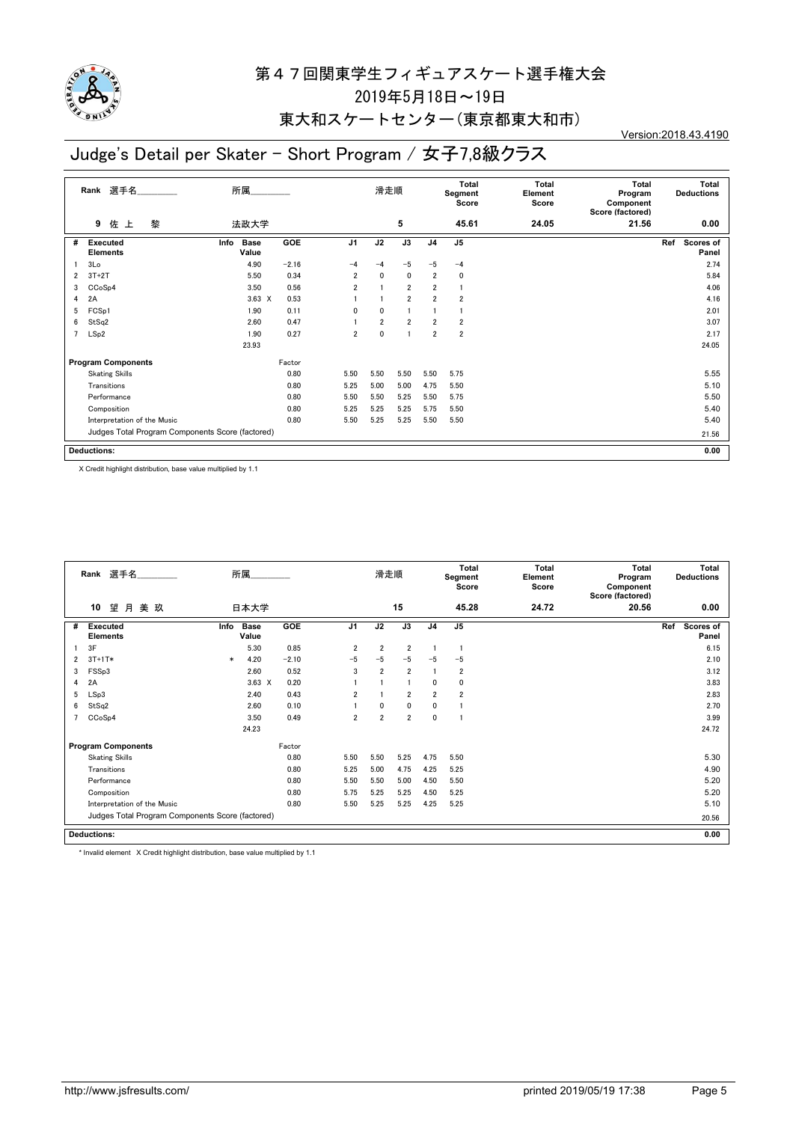

### 東大和スケートセンター(東京都東大和市)

Version:2018.43.4190

### Judge's Detail per Skater - Short Program / 女子7,8級クラス

|                | 選手名<br>Rank                                      | 所属                           |         |                | 滑走順            |                |                | Total<br>Segment<br>Score | <b>Total</b><br>Element<br>Score | Total<br>Program<br>Component<br>Score (factored) | Total<br><b>Deductions</b>       |
|----------------|--------------------------------------------------|------------------------------|---------|----------------|----------------|----------------|----------------|---------------------------|----------------------------------|---------------------------------------------------|----------------------------------|
|                | 佐<br>黎<br>9<br>上                                 | 法政大学                         |         |                |                | 5              |                | 45.61                     | 24.05                            | 21.56                                             | 0.00                             |
| #              | <b>Executed</b><br><b>Elements</b>               | Info<br><b>Base</b><br>Value | GOE     | J <sub>1</sub> | J2             | J3             | J <sub>4</sub> | J <sub>5</sub>            |                                  |                                                   | Ref<br><b>Scores of</b><br>Panel |
|                | 3 <sub>Lo</sub>                                  | 4.90                         | $-2.16$ | $-4$           | $-4$           | $-5$           | $-5$           | $-4$                      |                                  |                                                   | 2.74                             |
| 2              | $3T+2T$                                          | 5.50                         | 0.34    | $\overline{2}$ | $\mathbf{0}$   | 0              | $\overline{2}$ | 0                         |                                  |                                                   | 5.84                             |
| 3              | CCoSp4                                           | 3.50                         | 0.56    | $\overline{2}$ |                | $\overline{2}$ | $\overline{2}$ | J.                        |                                  |                                                   | 4.06                             |
| 4              | 2A                                               | $3.63 \times$                | 0.53    |                |                | $\overline{2}$ | $\overline{2}$ | $\overline{\mathbf{2}}$   |                                  |                                                   | 4.16                             |
| 5              | FCSp1                                            | 1.90                         | 0.11    | 0              | $\mathbf{0}$   |                |                |                           |                                  |                                                   | 2.01                             |
| 6              | StSq2                                            | 2.60                         | 0.47    |                | $\overline{2}$ | $\overline{2}$ | $\overline{2}$ | $\overline{\mathbf{2}}$   |                                  |                                                   | 3.07                             |
| $\overline{7}$ | LSp2                                             | 1.90                         | 0.27    | $\overline{2}$ | $\mathbf{0}$   |                | $\overline{2}$ | $\overline{\mathbf{2}}$   |                                  |                                                   | 2.17                             |
|                |                                                  | 23.93                        |         |                |                |                |                |                           |                                  |                                                   | 24.05                            |
|                | <b>Program Components</b>                        |                              | Factor  |                |                |                |                |                           |                                  |                                                   |                                  |
|                | <b>Skating Skills</b>                            |                              | 0.80    | 5.50           | 5.50           | 5.50           | 5.50           | 5.75                      |                                  |                                                   | 5.55                             |
|                | Transitions                                      |                              | 0.80    | 5.25           | 5.00           | 5.00           | 4.75           | 5.50                      |                                  |                                                   | 5.10                             |
|                | Performance                                      |                              | 0.80    | 5.50           | 5.50           | 5.25           | 5.50           | 5.75                      |                                  |                                                   | 5.50                             |
|                | Composition                                      |                              | 0.80    | 5.25           | 5.25           | 5.25           | 5.75           | 5.50                      |                                  |                                                   | 5.40                             |
|                | Interpretation of the Music                      |                              | 0.80    | 5.50           | 5.25           | 5.25           | 5.50           | 5.50                      |                                  |                                                   | 5.40                             |
|                | Judges Total Program Components Score (factored) |                              |         |                |                |                |                |                           |                                  |                                                   | 21.56                            |
|                | <b>Deductions:</b>                               |                              |         |                |                |                |                |                           |                                  |                                                   | 0.00                             |

X Credit highlight distribution, base value multiplied by 1.1

| Rank 選手名<br>所属<br>望<br>月<br>美 玖<br>10<br>日本大学 |                                                  |        |                      |         | 滑走順            |                |                | <b>Total</b><br>Segment<br>Score | Total<br>Element<br>Score | Total<br>Program<br>Component<br>Score (factored) | Total<br><b>Deductions</b> |                                  |
|-----------------------------------------------|--------------------------------------------------|--------|----------------------|---------|----------------|----------------|----------------|----------------------------------|---------------------------|---------------------------------------------------|----------------------------|----------------------------------|
|                                               |                                                  |        |                      |         |                |                | 15             |                                  | 45.28                     | 24.72                                             | 20.56                      | 0.00                             |
| #                                             | <b>Executed</b><br><b>Elements</b>               | Info   | <b>Base</b><br>Value | GOE     | J <sub>1</sub> | J2             | J3             | J <sub>4</sub>                   | J <sub>5</sub>            |                                                   |                            | Ref<br><b>Scores of</b><br>Panel |
|                                               | 3F                                               |        | 5.30                 | 0.85    | $\overline{2}$ | $\overline{2}$ | $\overline{2}$ |                                  |                           |                                                   |                            | 6.15                             |
| 2                                             | $3T+1T*$                                         | $\ast$ | 4.20                 | $-2.10$ | $-5$           | $-5$           | $-5$           | $-5$                             | $-5$                      |                                                   |                            | 2.10                             |
| 3                                             | FSSp3                                            |        | 2.60                 | 0.52    | 3              | $\overline{2}$ | $\overline{2}$ |                                  | $\overline{2}$            |                                                   |                            | 3.12                             |
| 4                                             | 2A                                               |        | $3.63 \times$        | 0.20    |                |                |                | 0                                | $\mathbf 0$               |                                                   |                            | 3.83                             |
| 5                                             | LSp3                                             |        | 2.40                 | 0.43    | $\overline{2}$ |                | $\overline{2}$ | $\overline{2}$                   | $\overline{2}$            |                                                   |                            | 2.83                             |
| 6                                             | StSq2                                            |        | 2.60                 | 0.10    |                | $\mathbf{0}$   | $\mathbf{0}$   | 0                                |                           |                                                   |                            | 2.70                             |
|                                               | CCoSp4                                           |        | 3.50                 | 0.49    | 2              | $\overline{2}$ | $\overline{2}$ | $\mathbf 0$                      |                           |                                                   |                            | 3.99                             |
|                                               |                                                  |        | 24.23                |         |                |                |                |                                  |                           |                                                   |                            | 24.72                            |
|                                               | <b>Program Components</b>                        |        |                      | Factor  |                |                |                |                                  |                           |                                                   |                            |                                  |
|                                               | <b>Skating Skills</b>                            |        |                      | 0.80    | 5.50           | 5.50           | 5.25           | 4.75                             | 5.50                      |                                                   |                            | 5.30                             |
|                                               | Transitions                                      |        |                      | 0.80    | 5.25           | 5.00           | 4.75           | 4.25                             | 5.25                      |                                                   |                            | 4.90                             |
|                                               | Performance                                      |        |                      | 0.80    | 5.50           | 5.50           | 5.00           | 4.50                             | 5.50                      |                                                   |                            | 5.20                             |
|                                               | Composition                                      |        |                      | 0.80    | 5.75           | 5.25           | 5.25           | 4.50                             | 5.25                      |                                                   |                            | 5.20                             |
|                                               | Interpretation of the Music                      |        |                      | 0.80    | 5.50           | 5.25           | 5.25           | 4.25                             | 5.25                      |                                                   |                            | 5.10                             |
|                                               | Judges Total Program Components Score (factored) |        |                      |         |                |                |                |                                  |                           |                                                   | 20.56                      |                                  |
|                                               | <b>Deductions:</b>                               |        |                      |         |                |                |                |                                  |                           |                                                   |                            | 0.00                             |

\* Invalid element X Credit highlight distribution, base value multiplied by 1.1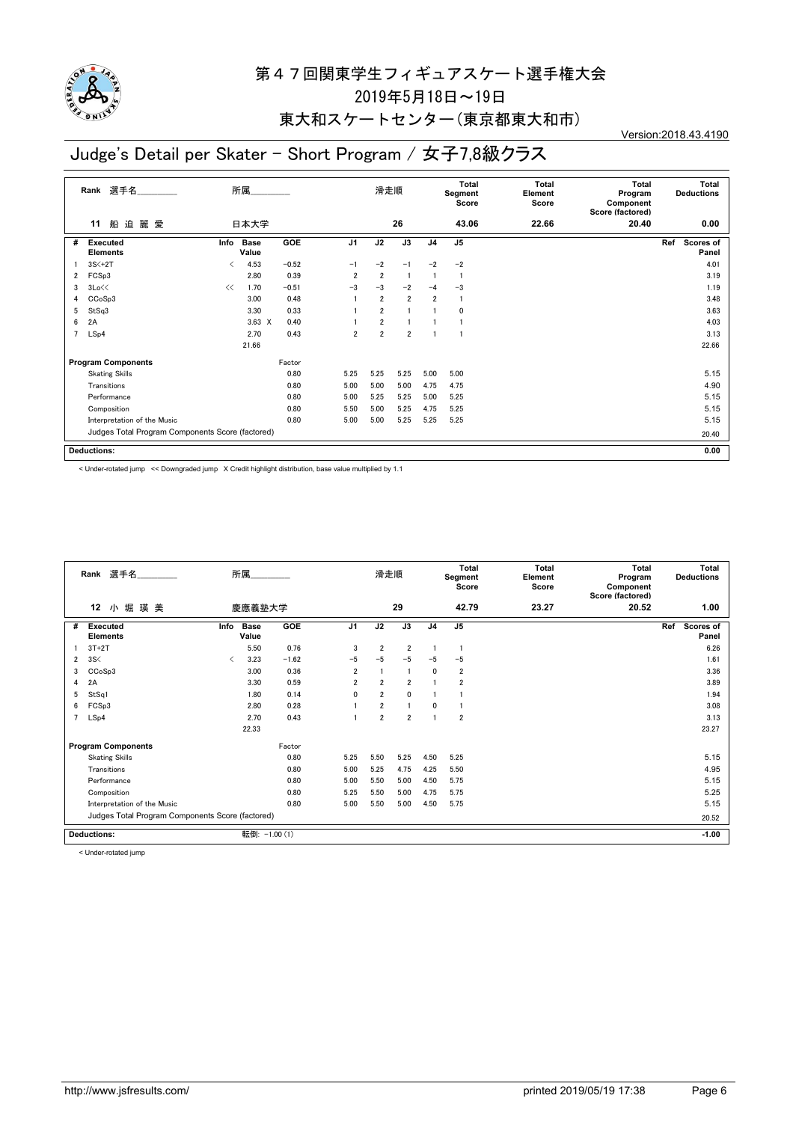

### 東大和スケートセンター(東京都東大和市)

Version:2018.43.4190

### Judge's Detail per Skater - Short Program / 女子7,8級クラス

|   | Rank 選手名                                         |                          | 所属                   |         |                | 滑走順            |                |                | Total<br>Segment<br>Score | <b>Total</b><br>Element<br>Score | Total<br>Program<br>Component<br>Score (factored) |     | Total<br><b>Deductions</b> |
|---|--------------------------------------------------|--------------------------|----------------------|---------|----------------|----------------|----------------|----------------|---------------------------|----------------------------------|---------------------------------------------------|-----|----------------------------|
|   | 船迫麗愛<br>11                                       |                          | 日本大学                 |         |                |                | 26             |                | 43.06                     | 22.66                            | 20.40                                             |     | 0.00                       |
| # | <b>Executed</b><br><b>Elements</b>               | Info                     | <b>Base</b><br>Value | GOE     | J <sub>1</sub> | J2             | J3             | J <sub>4</sub> | J <sub>5</sub>            |                                  |                                                   | Ref | Scores of<br>Panel         |
|   | $3S<+2T$                                         | $\overline{\phantom{a}}$ | 4.53                 | $-0.52$ | $-1$           | $-2$           | $-1$           | $-2$           | $-2$                      |                                  |                                                   |     | 4.01                       |
| 2 | FCSp3                                            |                          | 2.80                 | 0.39    | $\overline{2}$ | $\overline{2}$ | $\overline{1}$ |                |                           |                                  |                                                   |     | 3.19                       |
| 3 | 3Lo<<                                            | <<                       | 1.70                 | $-0.51$ | $-3$           | $-3$           | $-2$           | $-4$           | $-3$                      |                                  |                                                   |     | 1.19                       |
| 4 | CCoSp3                                           |                          | 3.00                 | 0.48    |                | $\overline{2}$ | $\overline{2}$ | $\overline{2}$ | $\overline{1}$            |                                  |                                                   |     | 3.48                       |
| 5 | StSq3                                            |                          | 3.30                 | 0.33    |                | $\overline{2}$ |                |                | 0                         |                                  |                                                   |     | 3.63                       |
| 6 | 2A                                               |                          | $3.63 \times$        | 0.40    |                | $\overline{2}$ |                |                |                           |                                  |                                                   |     | 4.03                       |
|   | LSp4                                             |                          | 2.70                 | 0.43    | $\overline{2}$ | $\overline{2}$ | $\overline{2}$ |                |                           |                                  |                                                   |     | 3.13                       |
|   |                                                  |                          | 21.66                |         |                |                |                |                |                           |                                  |                                                   |     | 22.66                      |
|   | <b>Program Components</b>                        |                          |                      | Factor  |                |                |                |                |                           |                                  |                                                   |     |                            |
|   | <b>Skating Skills</b>                            |                          |                      | 0.80    | 5.25           | 5.25           | 5.25           | 5.00           | 5.00                      |                                  |                                                   |     | 5.15                       |
|   | Transitions                                      |                          |                      | 0.80    | 5.00           | 5.00           | 5.00           | 4.75           | 4.75                      |                                  |                                                   |     | 4.90                       |
|   | Performance                                      |                          |                      | 0.80    | 5.00           | 5.25           | 5.25           | 5.00           | 5.25                      |                                  |                                                   |     | 5.15                       |
|   | Composition                                      |                          |                      | 0.80    | 5.50           | 5.00           | 5.25           | 4.75           | 5.25                      |                                  |                                                   |     | 5.15                       |
|   | Interpretation of the Music                      |                          |                      | 0.80    | 5.00           | 5.00           | 5.25           | 5.25           | 5.25                      |                                  |                                                   |     | 5.15                       |
|   | Judges Total Program Components Score (factored) |                          |                      |         |                |                |                |                |                           |                                  |                                                   |     | 20.40                      |
|   | <b>Deductions:</b>                               |                          |                      |         |                |                |                |                |                           |                                  |                                                   |     | 0.00                       |

< Under-rotated jump << Downgraded jump X Credit highlight distribution, base value multiplied by 1.1

|   | Rank 選手名                                         |      | 所属                   |         |                | 滑走順            |                |                | Total<br>Segment<br>Score | Total<br>Element<br>Score | Total<br>Program<br>Component<br>Score (factored) | <b>Total</b><br><b>Deductions</b> |
|---|--------------------------------------------------|------|----------------------|---------|----------------|----------------|----------------|----------------|---------------------------|---------------------------|---------------------------------------------------|-----------------------------------|
|   | 小堀<br>12<br>瑛 美                                  |      | 慶應義塾大学               |         |                |                | 29             |                | 42.79                     | 23.27                     | 20.52                                             | 1.00                              |
| # | Executed<br><b>Elements</b>                      | Info | <b>Base</b><br>Value | GOE     | J <sub>1</sub> | J2             | J3             | J <sub>4</sub> | J <sub>5</sub>            |                           |                                                   | Ref<br>Scores of<br>Panel         |
|   | $3T+2T$                                          |      | 5.50                 | 0.76    | 3              | $\overline{2}$ | $\overline{2}$ |                | $\mathbf{1}$              |                           |                                                   | 6.26                              |
| 2 | 3S<                                              | ≺    | 3.23                 | $-1.62$ | $-5$           | $-5$           | $-5$           | $-5$           | $-5$                      |                           |                                                   | 1.61                              |
| 3 | CCoSp3                                           |      | 3.00                 | 0.36    | $\overline{2}$ |                | J.             | 0              | $\overline{2}$            |                           |                                                   | 3.36                              |
| 4 | 2A                                               |      | 3.30                 | 0.59    | $\overline{2}$ | $\overline{2}$ | $\overline{2}$ |                | $\overline{2}$            |                           |                                                   | 3.89                              |
| 5 | StSq1                                            |      | 1.80                 | 0.14    | $\mathbf{0}$   | $\overline{2}$ | $\mathbf{0}$   |                |                           |                           |                                                   | 1.94                              |
| 6 | FCSp3                                            |      | 2.80                 | 0.28    |                | $\overline{2}$ |                | 0              |                           |                           |                                                   | 3.08                              |
|   | LSp4                                             |      | 2.70                 | 0.43    |                | $\overline{2}$ | $\overline{2}$ |                | $\overline{2}$            |                           |                                                   | 3.13                              |
|   |                                                  |      | 22.33                |         |                |                |                |                |                           |                           |                                                   | 23.27                             |
|   | <b>Program Components</b>                        |      |                      | Factor  |                |                |                |                |                           |                           |                                                   |                                   |
|   | <b>Skating Skills</b>                            |      |                      | 0.80    | 5.25           | 5.50           | 5.25           | 4.50           | 5.25                      |                           |                                                   | 5.15                              |
|   | Transitions                                      |      |                      | 0.80    | 5.00           | 5.25           | 4.75           | 4.25           | 5.50                      |                           |                                                   | 4.95                              |
|   | Performance                                      |      |                      | 0.80    | 5.00           | 5.50           | 5.00           | 4.50           | 5.75                      |                           |                                                   | 5.15                              |
|   | Composition                                      |      |                      | 0.80    | 5.25           | 5.50           | 5.00           | 4.75           | 5.75                      |                           |                                                   | 5.25                              |
|   | Interpretation of the Music                      |      |                      | 0.80    | 5.00           | 5.50           | 5.00           | 4.50           | 5.75                      |                           |                                                   | 5.15                              |
|   | Judges Total Program Components Score (factored) |      |                      |         |                |                |                |                |                           |                           | 20.52                                             |                                   |
|   | <b>Deductions:</b>                               |      | 転倒: -1.00 (1)        |         |                |                |                |                |                           |                           |                                                   | $-1.00$                           |

< Under-rotated jump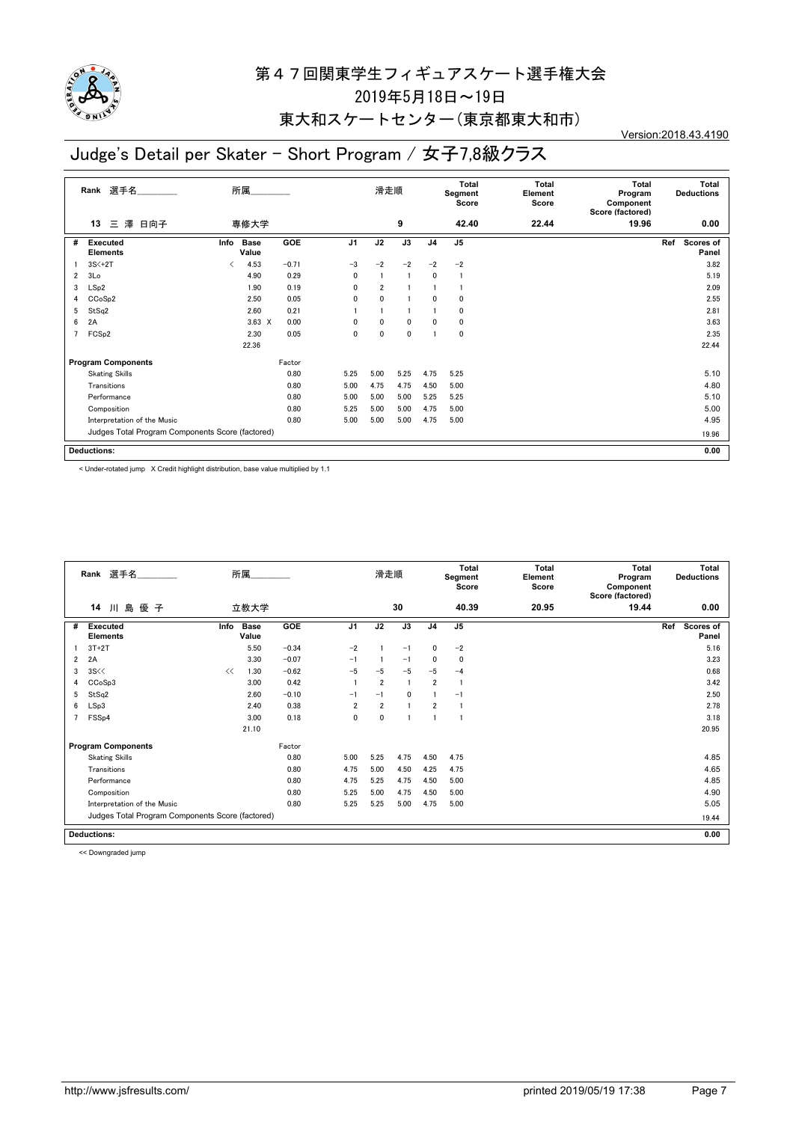

### 東大和スケートセンター(東京都東大和市)

Version:2018.43.4190

### Judge's Detail per Skater - Short Program / 女子7,8級クラス

|                | 選手名<br>Rank                                      |      | 所属                   |            |                | 滑走順            |              |                | Total<br>Segment<br>Score | <b>Total</b><br>Element<br>Score | <b>Total</b><br>Program<br>Component<br>Score (factored) | Total<br><b>Deductions</b>       |
|----------------|--------------------------------------------------|------|----------------------|------------|----------------|----------------|--------------|----------------|---------------------------|----------------------------------|----------------------------------------------------------|----------------------------------|
|                | 澤 日向子<br>三<br>13                                 |      | 専修大学                 |            |                |                | 9            |                | 42.40                     | 22.44                            | 19.96                                                    | 0.00                             |
| #              | <b>Executed</b><br><b>Elements</b>               | Info | <b>Base</b><br>Value | <b>GOE</b> | J <sub>1</sub> | J2             | J3           | J <sub>4</sub> | J <sub>5</sub>            |                                  |                                                          | Ref<br><b>Scores of</b><br>Panel |
|                | $3S<+2T$                                         | ✓    | 4.53                 | $-0.71$    | $-3$           | $-2$           | $-2$         | $-2$           | $-2$                      |                                  |                                                          | 3.82                             |
| 2              | 3Lo                                              |      | 4.90                 | 0.29       | $\mathbf{0}$   |                |              | 0              | 1                         |                                  |                                                          | 5.19                             |
| 3              | LSp2                                             |      | 1.90                 | 0.19       | $\mathbf{0}$   | $\overline{2}$ |              |                |                           |                                  |                                                          | 2.09                             |
| 4              | CCoSp2                                           |      | 2.50                 | 0.05       | $\mathbf{0}$   | 0              |              | 0              | 0                         |                                  |                                                          | 2.55                             |
| 5              | StSq2                                            |      | 2.60                 | 0.21       |                |                |              |                | 0                         |                                  |                                                          | 2.81                             |
| 6              | 2A                                               |      | $3.63 \times$        | 0.00       | $\mathbf{0}$   | 0              | $\mathbf{0}$ | 0              | 0                         |                                  |                                                          | 3.63                             |
| $\overline{7}$ | FCS <sub>p2</sub>                                |      | 2.30                 | 0.05       | $\mathbf 0$    | $\mathbf{0}$   | 0            |                | 0                         |                                  |                                                          | 2.35                             |
|                |                                                  |      | 22.36                |            |                |                |              |                |                           |                                  |                                                          | 22.44                            |
|                | <b>Program Components</b>                        |      |                      | Factor     |                |                |              |                |                           |                                  |                                                          |                                  |
|                | <b>Skating Skills</b>                            |      |                      | 0.80       | 5.25           | 5.00           | 5.25         | 4.75           | 5.25                      |                                  |                                                          | 5.10                             |
|                | Transitions                                      |      |                      | 0.80       | 5.00           | 4.75           | 4.75         | 4.50           | 5.00                      |                                  |                                                          | 4.80                             |
|                | Performance                                      |      |                      | 0.80       | 5.00           | 5.00           | 5.00         | 5.25           | 5.25                      |                                  |                                                          | 5.10                             |
|                | Composition                                      |      |                      | 0.80       | 5.25           | 5.00           | 5.00         | 4.75           | 5.00                      |                                  |                                                          | 5.00                             |
|                | Interpretation of the Music                      |      |                      | 0.80       | 5.00           | 5.00           | 5.00         | 4.75           | 5.00                      |                                  |                                                          | 4.95                             |
|                | Judges Total Program Components Score (factored) |      |                      |            |                |                |              |                |                           |                                  |                                                          | 19.96                            |
|                | <b>Deductions:</b>                               |      |                      |            |                |                |              |                |                           |                                  |                                                          | 0.00                             |

< Under-rotated jump X Credit highlight distribution, base value multiplied by 1.1

|                | Rank 選手名                                         |      | 所属                   |         |                | 滑走順            |              |                | <b>Total</b><br>Segment<br>Score | <b>Total</b><br>Element<br>Score | <b>Total</b><br>Program<br>Component<br>Score (factored) | <b>Total</b><br><b>Deductions</b> |
|----------------|--------------------------------------------------|------|----------------------|---------|----------------|----------------|--------------|----------------|----------------------------------|----------------------------------|----------------------------------------------------------|-----------------------------------|
|                | 島<br>優 子<br>14<br>Л                              |      | 立教大学                 |         |                |                | 30           |                | 40.39                            | 20.95                            | 19.44                                                    | 0.00                              |
| #              | <b>Executed</b><br><b>Elements</b>               | Info | <b>Base</b><br>Value | GOE     | J <sub>1</sub> | J2             | J3           | J <sub>4</sub> | J <sub>5</sub>                   |                                  |                                                          | Ref<br><b>Scores of</b><br>Panel  |
|                | $3T+2T$                                          |      | 5.50                 | $-0.34$ | $-2$           |                | $-1$         | $\mathbf{0}$   | $-2$                             |                                  |                                                          | 5.16                              |
| $\overline{2}$ | 2A                                               |      | 3.30                 | $-0.07$ | $-1$           |                | $-1$         | $\mathbf{0}$   | 0                                |                                  |                                                          | 3.23                              |
| 3              | 3S <                                             | <<   | 1.30                 | $-0.62$ | $-5$           | $-5$           | $-5$         | $-5$           | $-4$                             |                                  |                                                          | 0.68                              |
| 4              | CCoSp3                                           |      | 3.00                 | 0.42    |                | $\overline{2}$ |              | $\overline{2}$ |                                  |                                  |                                                          | 3.42                              |
| 5              | StSq2                                            |      | 2.60                 | $-0.10$ | $-1$           | $-1$           | $\mathbf{0}$ |                | $-1$                             |                                  |                                                          | 2.50                              |
| 6              | LSp3                                             |      | 2.40                 | 0.38    | $\overline{2}$ | $\overline{2}$ |              | $\overline{2}$ |                                  |                                  |                                                          | 2.78                              |
| 7              | FSS <sub>p4</sub>                                |      | 3.00                 | 0.18    | 0              | $\mathbf 0$    |              |                |                                  |                                  |                                                          | 3.18                              |
|                |                                                  |      | 21.10                |         |                |                |              |                |                                  |                                  |                                                          | 20.95                             |
|                | <b>Program Components</b>                        |      |                      | Factor  |                |                |              |                |                                  |                                  |                                                          |                                   |
|                | <b>Skating Skills</b>                            |      |                      | 0.80    | 5.00           | 5.25           | 4.75         | 4.50           | 4.75                             |                                  |                                                          | 4.85                              |
|                | Transitions                                      |      |                      | 0.80    | 4.75           | 5.00           | 4.50         | 4.25           | 4.75                             |                                  |                                                          | 4.65                              |
|                | Performance                                      |      |                      | 0.80    | 4.75           | 5.25           | 4.75         | 4.50           | 5.00                             |                                  |                                                          | 4.85                              |
|                | Composition                                      |      |                      | 0.80    | 5.25           | 5.00           | 4.75         | 4.50           | 5.00                             |                                  |                                                          | 4.90                              |
|                | Interpretation of the Music                      |      |                      | 0.80    | 5.25           | 5.25           | 5.00         | 4.75           | 5.00                             |                                  |                                                          | 5.05                              |
|                | Judges Total Program Components Score (factored) |      |                      |         |                |                |              |                |                                  |                                  |                                                          | 19.44                             |
|                | <b>Deductions:</b>                               |      |                      |         |                |                |              |                |                                  |                                  |                                                          | 0.00                              |

<< Downgraded jump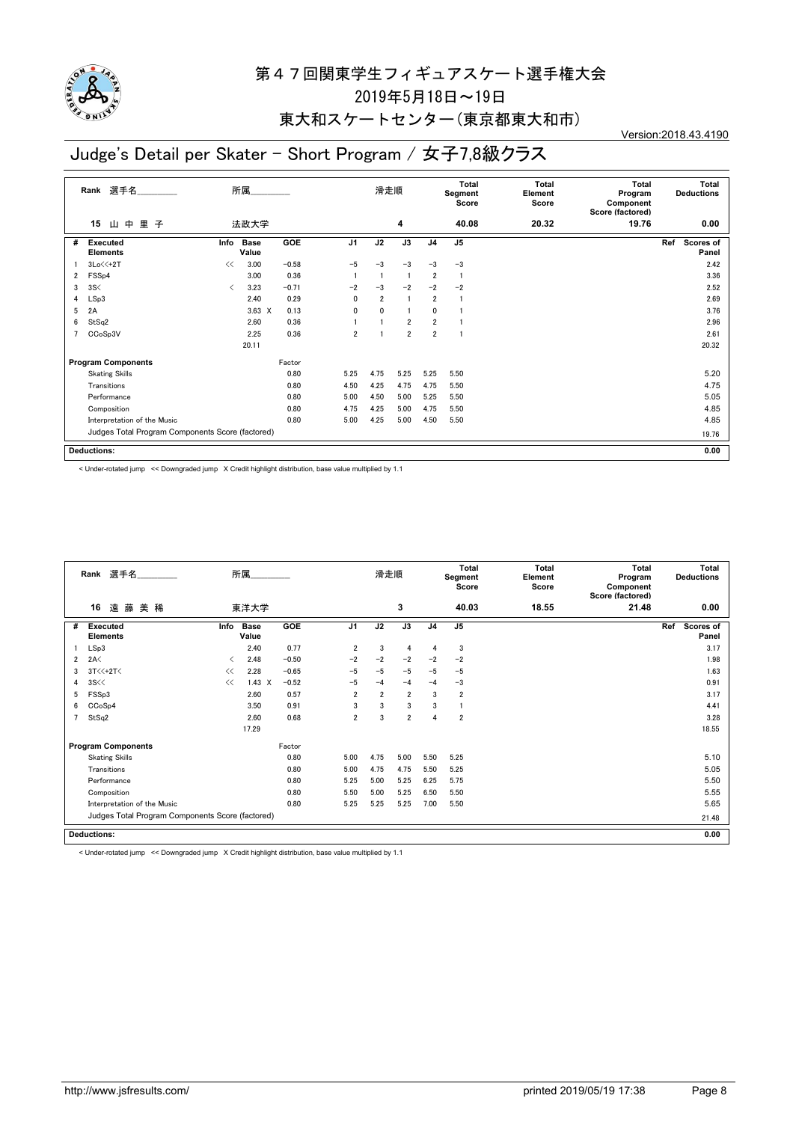

### 東大和スケートセンター(東京都東大和市)

Version:2018.43.4190

# Judge's Detail per Skater - Short Program / 女子7,8級クラス

|   | 選手名<br>Rank                                      |      | 所属                   |            |                | 滑走順            |                |                | Total<br>Segment<br>Score | <b>Total</b><br>Element<br>Score | <b>Total</b><br>Program<br>Component<br>Score (factored) | Total<br><b>Deductions</b>       |  |
|---|--------------------------------------------------|------|----------------------|------------|----------------|----------------|----------------|----------------|---------------------------|----------------------------------|----------------------------------------------------------|----------------------------------|--|
|   | 里<br>中<br>15<br>子<br>Щ                           |      | 法政大学                 |            |                |                | 4              |                | 40.08                     | 20.32                            | 19.76                                                    | 0.00                             |  |
| # | <b>Executed</b><br><b>Elements</b>               | Info | <b>Base</b><br>Value | <b>GOE</b> | J <sub>1</sub> | J2             | J3             | J <sub>4</sub> | J <sub>5</sub>            |                                  |                                                          | Ref<br><b>Scores of</b><br>Panel |  |
|   | $3Lo<<+2T$                                       | <<   | 3.00                 | $-0.58$    | $-5$           | $-3$           | $-3$           | $-3$           | $-3$                      |                                  |                                                          | 2.42                             |  |
| 2 | FSS <sub>p4</sub>                                |      | 3.00                 | 0.36       |                |                | $\mathbf{1}$   | $\overline{2}$ | $\overline{1}$            |                                  |                                                          | 3.36                             |  |
| 3 | 3S<                                              | ≺    | 3.23                 | $-0.71$    | $-2$           | $-3$           | $-2$           | $-2$           | $-2$                      |                                  |                                                          | 2.52                             |  |
| 4 | LSp3                                             |      | 2.40                 | 0.29       | 0              | $\overline{2}$ | -1             | $\overline{2}$ | -1                        |                                  |                                                          | 2.69                             |  |
| 5 | 2A                                               |      | $3.63 \times$        | 0.13       | 0              | $\mathbf{0}$   |                | 0              |                           |                                  |                                                          | 3.76                             |  |
| 6 | StSq2                                            |      | 2.60                 | 0.36       |                |                | $\overline{2}$ | $\overline{2}$ |                           |                                  |                                                          | 2.96                             |  |
| 7 | CCoSp3V                                          |      | 2.25                 | 0.36       | $\overline{2}$ |                | $\overline{2}$ | $\overline{2}$ |                           |                                  |                                                          | 2.61                             |  |
|   |                                                  |      | 20.11                |            |                |                |                |                |                           |                                  |                                                          | 20.32                            |  |
|   | <b>Program Components</b>                        |      |                      | Factor     |                |                |                |                |                           |                                  |                                                          |                                  |  |
|   | <b>Skating Skills</b>                            |      |                      | 0.80       | 5.25           | 4.75           | 5.25           | 5.25           | 5.50                      |                                  |                                                          | 5.20                             |  |
|   | Transitions                                      |      |                      | 0.80       | 4.50           | 4.25           | 4.75           | 4.75           | 5.50                      |                                  |                                                          | 4.75                             |  |
|   | Performance                                      |      |                      | 0.80       | 5.00           | 4.50           | 5.00           | 5.25           | 5.50                      |                                  |                                                          | 5.05                             |  |
|   | Composition                                      |      |                      | 0.80       | 4.75           | 4.25           | 5.00           | 4.75           | 5.50                      |                                  |                                                          | 4.85                             |  |
|   | Interpretation of the Music                      |      |                      | 0.80       | 5.00           | 4.25           | 5.00           | 4.50           | 5.50                      |                                  |                                                          | 4.85                             |  |
|   | Judges Total Program Components Score (factored) |      |                      |            |                |                |                |                |                           |                                  |                                                          | 19.76                            |  |
|   | <b>Deductions:</b>                               |      |                      |            |                |                |                |                |                           |                                  |                                                          | 0.00                             |  |

< Under-rotated jump << Downgraded jump X Credit highlight distribution, base value multiplied by 1.1

|   | Rank 選手名                                         |      | 所属                   |         |                | 滑走順            |                |                | <b>Total</b><br>Segment<br>Score | Total<br>Element<br>Score | <b>Total</b><br>Program<br>Component<br>Score (factored) | Total<br><b>Deductions</b> |
|---|--------------------------------------------------|------|----------------------|---------|----------------|----------------|----------------|----------------|----------------------------------|---------------------------|----------------------------------------------------------|----------------------------|
|   | 遠藤美稀<br>16                                       |      | 東洋大学                 |         |                |                | 3              |                | 40.03                            | 18.55                     | 21.48                                                    | 0.00                       |
| # | <b>Executed</b><br><b>Elements</b>               | Info | <b>Base</b><br>Value | GOE     | J <sub>1</sub> | J2             | J3             | J <sub>4</sub> | J <sub>5</sub>                   |                           |                                                          | Ref<br>Scores of<br>Panel  |
|   | LSp3                                             |      | 2.40                 | 0.77    | 2              | 3              | $\overline{4}$ | 4              | 3                                |                           |                                                          | 3.17                       |
| 2 | 2A<                                              | ≺    | 2.48                 | $-0.50$ | $-2$           | $-2$           | $-2$           | $-2$           | $-2$                             |                           |                                                          | 1.98                       |
| 3 | $3T<<+2T<$                                       | <<   | 2.28                 | $-0.65$ | $-5$           | $-5$           | $-5$           | $-5$           | $-5$                             |                           |                                                          | 1.63                       |
| 4 | 3S <                                             | <<   | $1.43 \times$        | $-0.52$ | $-5$           | $-4$           | $-4$           | $-4$           | $-3$                             |                           |                                                          | 0.91                       |
| 5 | FSSp3                                            |      | 2.60                 | 0.57    | $\overline{2}$ | $\overline{2}$ | $\overline{2}$ | 3              | $\overline{\mathbf{2}}$          |                           |                                                          | 3.17                       |
| 6 | CCoSp4                                           |      | 3.50                 | 0.91    | 3              | 3              | 3              | 3              |                                  |                           |                                                          | 4.41                       |
| 7 | StSq2                                            |      | 2.60                 | 0.68    | $\overline{2}$ | 3              | $\overline{2}$ | 4              | $\overline{2}$                   |                           |                                                          | 3.28                       |
|   |                                                  |      | 17.29                |         |                |                |                |                |                                  |                           |                                                          | 18.55                      |
|   | <b>Program Components</b>                        |      |                      | Factor  |                |                |                |                |                                  |                           |                                                          |                            |
|   | <b>Skating Skills</b>                            |      |                      | 0.80    | 5.00           | 4.75           | 5.00           | 5.50           | 5.25                             |                           |                                                          | 5.10                       |
|   | Transitions                                      |      |                      | 0.80    | 5.00           | 4.75           | 4.75           | 5.50           | 5.25                             |                           |                                                          | 5.05                       |
|   | Performance                                      |      |                      | 0.80    | 5.25           | 5.00           | 5.25           | 6.25           | 5.75                             |                           |                                                          | 5.50                       |
|   | Composition                                      |      |                      | 0.80    | 5.50           | 5.00           | 5.25           | 6.50           | 5.50                             |                           |                                                          | 5.55                       |
|   | Interpretation of the Music                      |      |                      | 0.80    | 5.25           | 5.25           | 5.25           | 7.00           | 5.50                             |                           |                                                          | 5.65                       |
|   | Judges Total Program Components Score (factored) |      |                      | 21.48   |                |                |                |                |                                  |                           |                                                          |                            |
|   | <b>Deductions:</b>                               |      |                      |         |                |                |                |                |                                  |                           |                                                          | 0.00                       |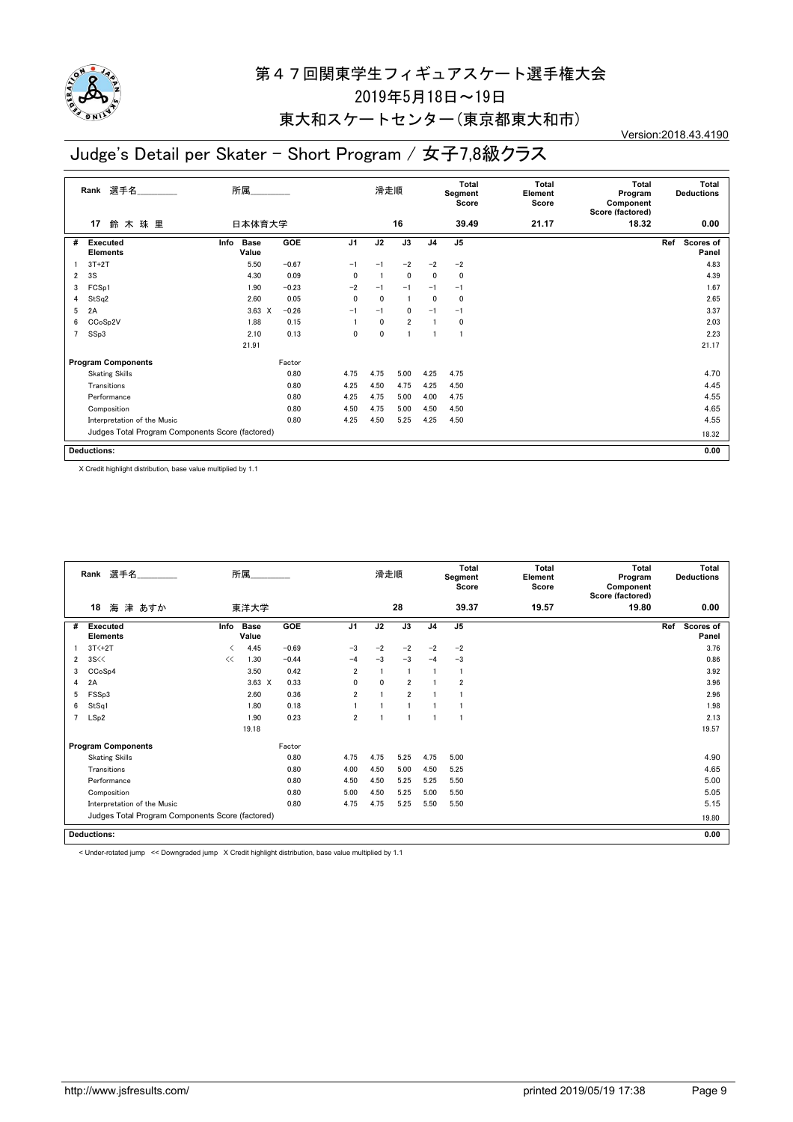

### 東大和スケートセンター(東京都東大和市)

#### Version:2018.43.4190

# Judge's Detail per Skater - Short Program / 女子7,8級クラス

|   | 選手名<br>Rank                                      | 所属                           |            |                | 滑走順          |                |                | <b>Total</b><br>Segment<br>Score | <b>Total</b><br>Element<br>Score | <b>Total</b><br>Program<br>Component<br>Score (factored) | Total<br><b>Deductions</b>       |
|---|--------------------------------------------------|------------------------------|------------|----------------|--------------|----------------|----------------|----------------------------------|----------------------------------|----------------------------------------------------------|----------------------------------|
|   | 鈴木珠里<br>17                                       | 日本体育大学                       |            |                |              | 16             |                | 39.49                            | 21.17                            | 18.32                                                    | 0.00                             |
| # | <b>Executed</b><br><b>Elements</b>               | <b>Base</b><br>Info<br>Value | <b>GOE</b> | J <sub>1</sub> | J2           | J3             | J <sub>4</sub> | J <sub>5</sub>                   |                                  |                                                          | Ref<br><b>Scores of</b><br>Panel |
|   | $3T+2T$                                          | 5.50                         | $-0.67$    | $-1$           | $-1$         | $-2$           | $-2$           | $-2$                             |                                  |                                                          | 4.83                             |
| 2 | 3S                                               | 4.30                         | 0.09       | $\mathbf{0}$   | -1           | 0              | 0              | 0                                |                                  |                                                          | 4.39                             |
| 3 | FCSp1                                            | 1.90                         | $-0.23$    | $-2$           | $-1$         | $-1$           | $-1$           | $-1$                             |                                  |                                                          | 1.67                             |
| 4 | StSq2                                            | 2.60                         | 0.05       | $\mathbf{0}$   | $\mathbf 0$  | -1             | 0              | 0                                |                                  |                                                          | 2.65                             |
| 5 | 2A                                               | $3.63 \times$                | $-0.26$    | $-1$           | $-1$         | 0              | $-1$           | $-1$                             |                                  |                                                          | 3.37                             |
| 6 | CCoSp2V                                          | 1.88                         | 0.15       |                | $\mathbf{0}$ | $\overline{2}$ |                | 0                                |                                  |                                                          | 2.03                             |
| 7 | SSp3                                             | 2.10                         | 0.13       | 0              | 0            |                |                | 1                                |                                  |                                                          | 2.23                             |
|   |                                                  | 21.91                        |            |                |              |                |                |                                  |                                  |                                                          | 21.17                            |
|   | <b>Program Components</b>                        |                              | Factor     |                |              |                |                |                                  |                                  |                                                          |                                  |
|   | <b>Skating Skills</b>                            |                              | 0.80       | 4.75           | 4.75         | 5.00           | 4.25           | 4.75                             |                                  |                                                          | 4.70                             |
|   | Transitions                                      |                              | 0.80       | 4.25           | 4.50         | 4.75           | 4.25           | 4.50                             |                                  |                                                          | 4.45                             |
|   | Performance                                      |                              | 0.80       | 4.25           | 4.75         | 5.00           | 4.00           | 4.75                             |                                  |                                                          | 4.55                             |
|   | Composition                                      |                              | 0.80       | 4.50           | 4.75         | 5.00           | 4.50           | 4.50                             |                                  |                                                          | 4.65                             |
|   | Interpretation of the Music                      |                              | 0.80       | 4.25           | 4.50         | 5.25           | 4.25           | 4.50                             |                                  |                                                          | 4.55                             |
|   | Judges Total Program Components Score (factored) |                              |            |                |              |                |                |                                  |                                  |                                                          | 18.32                            |
|   | <b>Deductions:</b>                               |                              |            |                |              |                |                |                                  |                                  |                                                          | 0.00                             |

X Credit highlight distribution, base value multiplied by 1.1

|                | Rank 選手名                                         |      | 所属                   |            |                | 滑走順          |                |                | Total<br>Segment<br>Score | Total<br>Element<br>Score | Total<br>Program<br>Component<br>Score (factored) | Total<br><b>Deductions</b> |
|----------------|--------------------------------------------------|------|----------------------|------------|----------------|--------------|----------------|----------------|---------------------------|---------------------------|---------------------------------------------------|----------------------------|
|                | 18<br>海津 あすか                                     |      | 東洋大学                 |            |                |              | 28             |                | 39.37                     | 19.57                     | 19.80                                             | 0.00                       |
| #              | <b>Executed</b><br><b>Elements</b>               | Info | <b>Base</b><br>Value | <b>GOE</b> | J <sub>1</sub> | J2           | J3             | J <sub>4</sub> | J <sub>5</sub>            |                           |                                                   | Ref<br>Scores of<br>Panel  |
|                | $3T<+2T$                                         | ≺    | 4.45                 | $-0.69$    | $-3$           | $-2$         | $-2$           | $-2$           | $-2$                      |                           |                                                   | 3.76                       |
| $\overline{2}$ | 3S <                                             | <<   | 1.30                 | $-0.44$    | $-4$           | $-3$         | $-3$           | $-4$           | $-3$                      |                           |                                                   | 0.86                       |
| 3              | CCoSp4                                           |      | 3.50                 | 0.42       | $\overline{2}$ |              |                |                |                           |                           |                                                   | 3.92                       |
| 4              | 2A                                               |      | $3.63 \times$        | 0.33       | 0              | $\mathbf{0}$ | $\overline{2}$ |                | $\overline{2}$            |                           |                                                   | 3.96                       |
| 5              | FSSp3                                            |      | 2.60                 | 0.36       | $\overline{2}$ |              | $\overline{2}$ |                |                           |                           |                                                   | 2.96                       |
| 6              | StSq1                                            |      | 1.80                 | 0.18       |                |              |                |                |                           |                           |                                                   | 1.98                       |
| 7              | LSp2                                             |      | 1.90                 | 0.23       | $\overline{2}$ |              |                |                |                           |                           |                                                   | 2.13                       |
|                |                                                  |      | 19.18                |            |                |              |                |                |                           |                           |                                                   | 19.57                      |
|                | <b>Program Components</b>                        |      |                      | Factor     |                |              |                |                |                           |                           |                                                   |                            |
|                | <b>Skating Skills</b>                            |      |                      | 0.80       | 4.75           | 4.75         | 5.25           | 4.75           | 5.00                      |                           |                                                   | 4.90                       |
|                | Transitions                                      |      |                      | 0.80       | 4.00           | 4.50         | 5.00           | 4.50           | 5.25                      |                           |                                                   | 4.65                       |
|                | Performance                                      |      |                      | 0.80       | 4.50           | 4.50         | 5.25           | 5.25           | 5.50                      |                           |                                                   | 5.00                       |
|                | Composition                                      |      |                      | 0.80       | 5.00           | 4.50         | 5.25           | 5.00           | 5.50                      |                           |                                                   | 5.05                       |
|                | Interpretation of the Music                      |      |                      | 0.80       | 4.75           | 4.75         | 5.25           | 5.50           | 5.50                      |                           |                                                   | 5.15                       |
|                | Judges Total Program Components Score (factored) |      |                      |            |                |              |                |                |                           |                           |                                                   | 19.80                      |
|                | <b>Deductions:</b>                               |      |                      |            |                |              |                |                |                           |                           |                                                   | 0.00                       |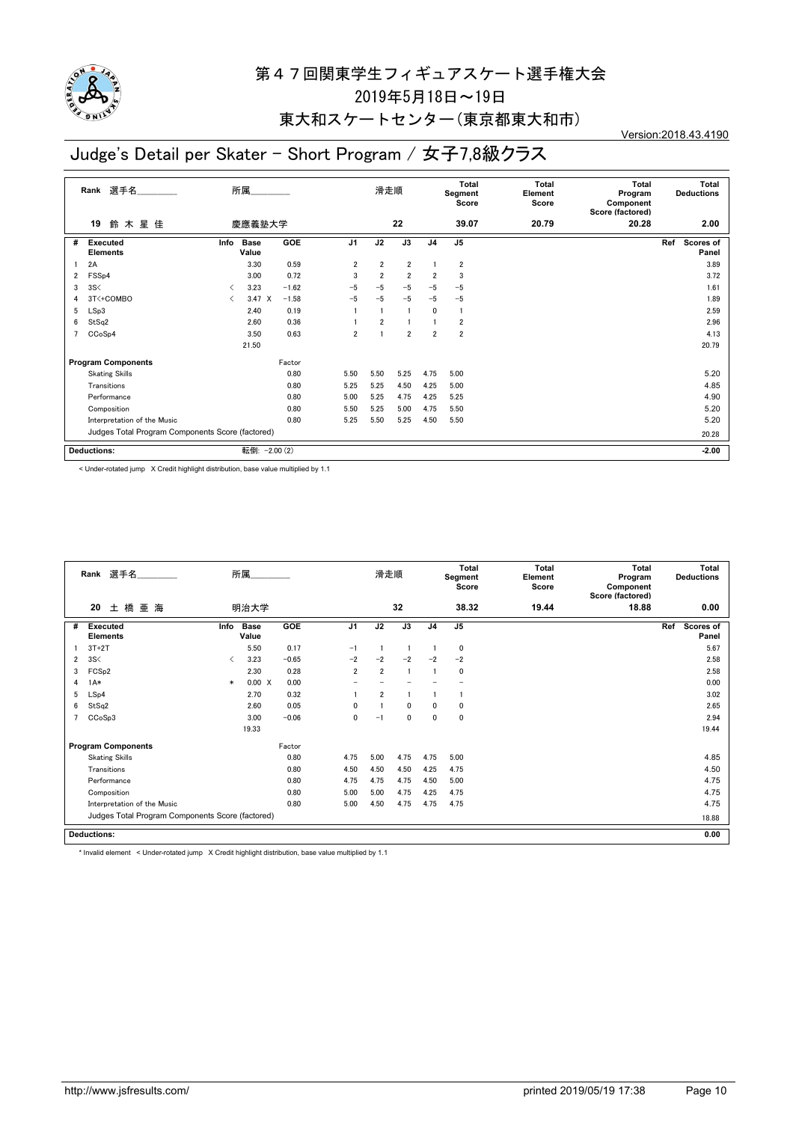

### 東大和スケートセンター(東京都東大和市)

#### Version:2018.43.4190

### Judge's Detail per Skater - Short Program / 女子7,8級クラス

|   | 選手名<br>Rank                                      |      | 所属                   |            |                | 滑走順            |                |                | <b>Total</b><br>Segment<br>Score | <b>Total</b><br>Element<br>Score | <b>Total</b><br>Program<br>Component<br>Score (factored) | <b>Total</b><br><b>Deductions</b> |
|---|--------------------------------------------------|------|----------------------|------------|----------------|----------------|----------------|----------------|----------------------------------|----------------------------------|----------------------------------------------------------|-----------------------------------|
|   | 鈴木星佳<br>19                                       |      | 慶應義塾大学               |            |                |                | 22             |                | 39.07                            | 20.79                            | 20.28                                                    | 2.00                              |
| # | <b>Executed</b><br><b>Elements</b>               | Info | <b>Base</b><br>Value | <b>GOE</b> | J <sub>1</sub> | J2             | J3             | J <sub>4</sub> | J <sub>5</sub>                   |                                  |                                                          | Ref<br>Scores of<br>Panel         |
|   | 2A                                               |      | 3.30                 | 0.59       | $\overline{2}$ | $\overline{2}$ | $\overline{2}$ |                | $\overline{2}$                   |                                  |                                                          | 3.89                              |
| 2 | FSS <sub>p4</sub>                                |      | 3.00                 | 0.72       | 3              | $\overline{2}$ | $\overline{2}$ | $\overline{2}$ | 3                                |                                  |                                                          | 3.72                              |
| 3 | 3S<                                              | ◁    | 3.23                 | $-1.62$    | -5             | $-5$           | $-5$           | $-5$           | $-5$                             |                                  |                                                          | 1.61                              |
|   | 3T<+COMBO                                        | ✓    | $3.47 \times$        | $-1.58$    | $-5$           | $-5$           | $-5$           | $-5$           | $-5$                             |                                  |                                                          | 1.89                              |
| 5 | LSp3                                             |      | 2.40                 | 0.19       |                |                |                | 0              | $\mathbf{1}$                     |                                  |                                                          | 2.59                              |
| 6 | StSq2                                            |      | 2.60                 | 0.36       |                | $\overline{2}$ |                |                | $\overline{2}$                   |                                  |                                                          | 2.96                              |
|   | CCoSp4                                           |      | 3.50                 | 0.63       | $\overline{2}$ |                | $\overline{2}$ | $\overline{2}$ | $\overline{2}$                   |                                  |                                                          | 4.13                              |
|   |                                                  |      | 21.50                |            |                |                |                |                |                                  |                                  |                                                          | 20.79                             |
|   | <b>Program Components</b>                        |      |                      | Factor     |                |                |                |                |                                  |                                  |                                                          |                                   |
|   | <b>Skating Skills</b>                            |      |                      | 0.80       | 5.50           | 5.50           | 5.25           | 4.75           | 5.00                             |                                  |                                                          | 5.20                              |
|   | Transitions                                      |      |                      | 0.80       | 5.25           | 5.25           | 4.50           | 4.25           | 5.00                             |                                  |                                                          | 4.85                              |
|   | Performance                                      |      |                      | 0.80       | 5.00           | 5.25           | 4.75           | 4.25           | 5.25                             |                                  |                                                          | 4.90                              |
|   | Composition                                      |      |                      | 0.80       | 5.50           | 5.25           | 5.00           | 4.75           | 5.50                             |                                  |                                                          | 5.20                              |
|   | Interpretation of the Music                      |      |                      | 0.80       | 5.25           | 5.50           | 5.25           | 4.50           | 5.50                             |                                  |                                                          | 5.20                              |
|   | Judges Total Program Components Score (factored) |      |                      |            |                |                |                |                |                                  | 20.28                            |                                                          |                                   |
|   | <b>Deductions:</b>                               |      | 転倒:                  | $-2.00(2)$ |                |                |                |                |                                  |                                  |                                                          | $-2.00$                           |

< Under-rotated jump X Credit highlight distribution, base value multiplied by 1.1

|                | Rank 選手名                                         |        | 所属                   |         |                | 滑走順            |              |                | <b>Total</b><br>Segment<br>Score | Total<br>Element<br>Score | Total<br>Program<br>Component<br>Score (factored) | Total<br><b>Deductions</b>       |
|----------------|--------------------------------------------------|--------|----------------------|---------|----------------|----------------|--------------|----------------|----------------------------------|---------------------------|---------------------------------------------------|----------------------------------|
|                | 土橋亜海<br>20                                       |        | 明治大学                 |         |                |                | 32           |                | 38.32                            | 19.44                     | 18.88                                             | 0.00                             |
| #              | <b>Executed</b><br><b>Elements</b>               | Info   | <b>Base</b><br>Value | GOE     | J <sub>1</sub> | J2             | J3           | J <sub>4</sub> | J5                               |                           |                                                   | Ref<br><b>Scores of</b><br>Panel |
|                | $3T+2T$                                          |        | 5.50                 | 0.17    | $-1$           |                |              |                | 0                                |                           |                                                   | 5.67                             |
| $\overline{2}$ | 3S<                                              | ≺      | 3.23                 | $-0.65$ | $-2$           | $-2$           | $-2$         | $-2$           | $-2$                             |                           |                                                   | 2.58                             |
| 3              | FCS <sub>p2</sub>                                |        | 2.30                 | 0.28    | $\overline{2}$ | $\overline{2}$ |              |                | 0                                |                           |                                                   | 2.58                             |
| 4              | $1A*$                                            | $\ast$ | 0.00 X               | 0.00    |                |                |              |                |                                  |                           |                                                   | 0.00                             |
| 5              | LSp4                                             |        | 2.70                 | 0.32    |                | $\overline{2}$ |              |                |                                  |                           |                                                   | 3.02                             |
| 6              | StSq2                                            |        | 2.60                 | 0.05    | $\mathbf{0}$   |                | $\mathbf{0}$ | 0              | 0                                |                           |                                                   | 2.65                             |
|                | CCoSp3                                           |        | 3.00                 | $-0.06$ | 0              | $-1$           | $\mathbf 0$  | 0              | 0                                |                           |                                                   | 2.94                             |
|                |                                                  |        | 19.33                |         |                |                |              |                |                                  |                           |                                                   | 19.44                            |
|                | <b>Program Components</b>                        |        |                      | Factor  |                |                |              |                |                                  |                           |                                                   |                                  |
|                | <b>Skating Skills</b>                            |        |                      | 0.80    | 4.75           | 5.00           | 4.75         | 4.75           | 5.00                             |                           |                                                   | 4.85                             |
|                | Transitions                                      |        |                      | 0.80    | 4.50           | 4.50           | 4.50         | 4.25           | 4.75                             |                           |                                                   | 4.50                             |
|                | Performance                                      |        |                      | 0.80    | 4.75           | 4.75           | 4.75         | 4.50           | 5.00                             |                           |                                                   | 4.75                             |
|                | Composition                                      |        |                      | 0.80    | 5.00           | 5.00           | 4.75         | 4.25           | 4.75                             |                           |                                                   | 4.75                             |
|                | Interpretation of the Music                      |        |                      | 0.80    | 5.00           | 4.50           | 4.75         | 4.75           | 4.75                             |                           |                                                   | 4.75                             |
|                | Judges Total Program Components Score (factored) |        |                      |         |                |                |              |                |                                  |                           |                                                   | 18.88                            |
|                | <b>Deductions:</b>                               |        |                      |         |                |                |              |                |                                  |                           |                                                   | 0.00                             |

\* Invalid element < Under-rotated jump X Credit highlight distribution, base value multiplied by 1.1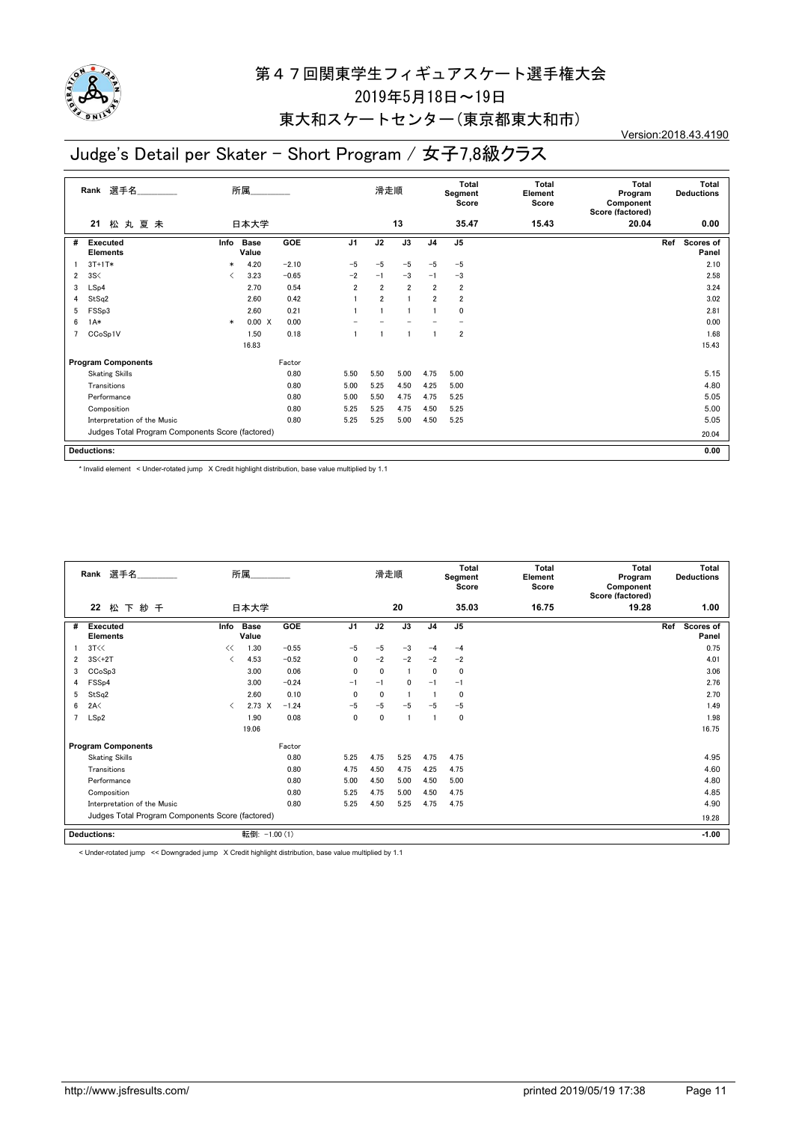

### 東大和スケートセンター(東京都東大和市)

Version:2018.43.4190

### Judge's Detail per Skater - Short Program / 女子7,8級クラス

|   | 選手名<br>Rank                                      |        | 所属                   |            |                | 滑走順            |                |                | Total<br>Segment<br>Score | <b>Total</b><br>Element<br>Score | <b>Total</b><br>Program<br>Component<br>Score (factored) |     | Total<br><b>Deductions</b> |
|---|--------------------------------------------------|--------|----------------------|------------|----------------|----------------|----------------|----------------|---------------------------|----------------------------------|----------------------------------------------------------|-----|----------------------------|
|   | 松丸夏未<br>21                                       |        | 日本大学                 |            |                |                | 13             |                | 35.47                     | 15.43                            | 20.04                                                    |     | 0.00                       |
| # | <b>Executed</b><br><b>Elements</b>               | Info   | <b>Base</b><br>Value | <b>GOE</b> | J <sub>1</sub> | J2             | J3             | J <sub>4</sub> | J <sub>5</sub>            |                                  |                                                          | Ref | <b>Scores of</b><br>Panel  |
|   | $3T+1T*$                                         | $\ast$ | 4.20                 | $-2.10$    | $-5$           | $-5$           | $-5$           | $-5$           | $-5$                      |                                  |                                                          |     | 2.10                       |
| 2 | 3S<                                              | ✓      | 3.23                 | $-0.65$    | $-2$           | $-1$           | $-3$           | $-1$           | $-3$                      |                                  |                                                          |     | 2.58                       |
| 3 | LSp4                                             |        | 2.70                 | 0.54       | $\overline{2}$ | $\overline{2}$ | $\overline{2}$ | $\overline{2}$ | $\overline{2}$            |                                  |                                                          |     | 3.24                       |
| 4 | StSq2                                            |        | 2.60                 | 0.42       |                | $\overline{2}$ |                | $\overline{2}$ | $\overline{2}$            |                                  |                                                          |     | 3.02                       |
| 5 | FSSp3                                            |        | 2.60                 | 0.21       |                |                |                |                | 0                         |                                  |                                                          |     | 2.81                       |
| 6 | $1A*$                                            | $\ast$ | 0.00 X               | 0.00       |                |                |                |                |                           |                                  |                                                          |     | 0.00                       |
| 7 | CCoSp1V                                          |        | 1.50                 | 0.18       |                |                |                |                | 2                         |                                  |                                                          |     | 1.68                       |
|   |                                                  |        | 16.83                |            |                |                |                |                |                           |                                  |                                                          |     | 15.43                      |
|   | <b>Program Components</b>                        |        |                      | Factor     |                |                |                |                |                           |                                  |                                                          |     |                            |
|   | <b>Skating Skills</b>                            |        |                      | 0.80       | 5.50           | 5.50           | 5.00           | 4.75           | 5.00                      |                                  |                                                          |     | 5.15                       |
|   | Transitions                                      |        |                      | 0.80       | 5.00           | 5.25           | 4.50           | 4.25           | 5.00                      |                                  |                                                          |     | 4.80                       |
|   | Performance                                      |        |                      | 0.80       | 5.00           | 5.50           | 4.75           | 4.75           | 5.25                      |                                  |                                                          |     | 5.05                       |
|   | Composition                                      |        |                      | 0.80       | 5.25           | 5.25           | 4.75           | 4.50           | 5.25                      |                                  |                                                          |     | 5.00                       |
|   | Interpretation of the Music                      |        |                      | 0.80       | 5.25           | 5.25           | 5.00           | 4.50           | 5.25                      |                                  |                                                          |     | 5.05                       |
|   | Judges Total Program Components Score (factored) |        |                      |            |                |                |                |                |                           |                                  |                                                          |     | 20.04                      |
|   | <b>Deductions:</b>                               |        |                      |            |                |                |                |                |                           |                                  |                                                          |     | 0.00                       |

\* Invalid element < Under-rotated jump X Credit highlight distribution, base value multiplied by 1.1

|   | Rank 選手名                                         |      | 所属                   |            |                | 滑走順         |      |                | Total<br>Segment<br>Score | Total<br>Element<br>Score | Total<br>Program<br>Component<br>Score (factored) | Total<br><b>Deductions</b> |
|---|--------------------------------------------------|------|----------------------|------------|----------------|-------------|------|----------------|---------------------------|---------------------------|---------------------------------------------------|----------------------------|
|   | 22<br>松下紗千                                       |      | 日本大学                 |            |                |             | 20   |                | 35.03                     | 16.75                     | 19.28                                             | 1.00                       |
| # | <b>Executed</b><br><b>Elements</b>               | Info | <b>Base</b><br>Value | <b>GOE</b> | J <sub>1</sub> | J2          | J3   | J <sub>4</sub> | J <sub>5</sub>            |                           |                                                   | Ref<br>Scores of<br>Panel  |
|   | 3T<<                                             | <<   | 1.30                 | $-0.55$    | $-5$           | $-5$        | $-3$ | $-4$           | $-4$                      |                           |                                                   | 0.75                       |
| 2 | $3S<+2T$                                         | ≺    | 4.53                 | $-0.52$    | 0              | $-2$        | $-2$ | $-2$           | $-2$                      |                           |                                                   | 4.01                       |
| 3 | CCoSp3                                           |      | 3.00                 | 0.06       | $\mathbf 0$    | $\mathbf 0$ |      | $\mathbf{0}$   | 0                         |                           |                                                   | 3.06                       |
| 4 | FSS <sub>p4</sub>                                |      | 3.00                 | $-0.24$    | $-1$           | $-1$        | 0    | $-1$           | $-1$                      |                           |                                                   | 2.76                       |
| 5 | StSq2                                            |      | 2.60                 | 0.10       | $\Omega$       | $\mathbf 0$ |      |                | $\mathbf 0$               |                           |                                                   | 2.70                       |
| 6 | 2A<                                              | ≺    | $2.73 \times$        | $-1.24$    | $-5$           | $-5$        | $-5$ | $-5$           | $-5$                      |                           |                                                   | 1.49                       |
| 7 | LSp2                                             |      | 1.90                 | 0.08       | 0              | 0           |      |                | 0                         |                           |                                                   | 1.98                       |
|   |                                                  |      | 19.06                |            |                |             |      |                |                           |                           |                                                   | 16.75                      |
|   | <b>Program Components</b>                        |      |                      | Factor     |                |             |      |                |                           |                           |                                                   |                            |
|   | <b>Skating Skills</b>                            |      |                      | 0.80       | 5.25           | 4.75        | 5.25 | 4.75           | 4.75                      |                           |                                                   | 4.95                       |
|   | Transitions                                      |      |                      | 0.80       | 4.75           | 4.50        | 4.75 | 4.25           | 4.75                      |                           |                                                   | 4.60                       |
|   | Performance                                      |      |                      | 0.80       | 5.00           | 4.50        | 5.00 | 4.50           | 5.00                      |                           |                                                   | 4.80                       |
|   | Composition                                      |      |                      | 0.80       | 5.25           | 4.75        | 5.00 | 4.50           | 4.75                      |                           |                                                   | 4.85                       |
|   | Interpretation of the Music                      |      |                      | 0.80       | 5.25           | 4.50        | 5.25 | 4.75           | 4.75                      |                           |                                                   | 4.90                       |
|   | Judges Total Program Components Score (factored) |      |                      |            |                |             |      |                |                           |                           | 19.28                                             |                            |
|   | <b>Deductions:</b>                               |      | 転倒: -1.00 (1)        |            |                |             |      |                |                           |                           |                                                   | $-1.00$                    |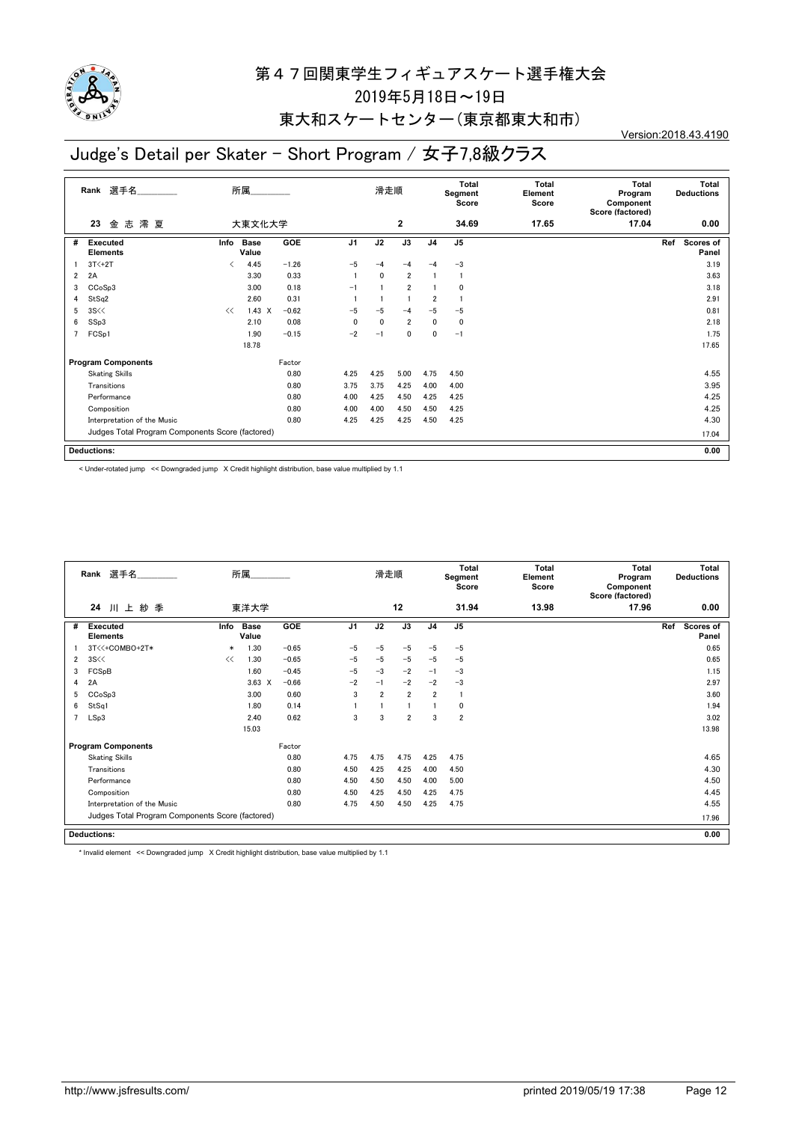

### 東大和スケートセンター(東京都東大和市)

Version:2018.43.4190

### Judge's Detail per Skater - Short Program / 女子7,8級クラス

|   | 選手名<br>Rank                                      |      | 所属                   |            |                | 滑走順         |                |                | Total<br>Segment<br>Score | <b>Total</b><br>Element<br>Score | <b>Total</b><br>Program<br>Component<br>Score (factored) | <b>Total</b><br><b>Deductions</b> |
|---|--------------------------------------------------|------|----------------------|------------|----------------|-------------|----------------|----------------|---------------------------|----------------------------------|----------------------------------------------------------|-----------------------------------|
|   | 澪 夏<br>金 志<br>23                                 |      | 大東文化大学               |            |                |             | $\mathbf{2}$   |                | 34.69                     | 17.65                            | 17.04                                                    | 0.00                              |
| # | <b>Executed</b><br><b>Elements</b>               | Info | <b>Base</b><br>Value | <b>GOE</b> | J <sub>1</sub> | J2          | J3             | J <sub>4</sub> | J <sub>5</sub>            |                                  |                                                          | Ref<br><b>Scores of</b><br>Panel  |
|   | $3T<+2T$                                         | K    | 4.45                 | $-1.26$    | $-5$           | $-4$        | $-4$           | $-4$           | $-3$                      |                                  |                                                          | 3.19                              |
| 2 | 2A                                               |      | 3.30                 | 0.33       |                | 0           | $\overline{2}$ |                | -1                        |                                  |                                                          | 3.63                              |
| 3 | CCoSp3                                           |      | 3.00                 | 0.18       | $-1$           |             | $\overline{2}$ |                | 0                         |                                  |                                                          | 3.18                              |
| 4 | StSq2                                            |      | 2.60                 | 0.31       |                |             |                | $\overline{2}$ |                           |                                  |                                                          | 2.91                              |
| 5 | 3S<<                                             | <<   | $1.43 \times$        | $-0.62$    | $-5$           | $-5$        | $-4$           | $-5$           | $-5$                      |                                  |                                                          | 0.81                              |
| 6 | SSp3                                             |      | 2.10                 | 0.08       | 0              | $\mathbf 0$ | $\overline{2}$ | 0              | 0                         |                                  |                                                          | 2.18                              |
|   | FCSp1                                            |      | 1.90                 | $-0.15$    | $-2$           | $-1$        | $\mathbf 0$    | 0              | $-1$                      |                                  |                                                          | 1.75                              |
|   |                                                  |      | 18.78                |            |                |             |                |                |                           |                                  |                                                          | 17.65                             |
|   | <b>Program Components</b>                        |      |                      | Factor     |                |             |                |                |                           |                                  |                                                          |                                   |
|   | <b>Skating Skills</b>                            |      |                      | 0.80       | 4.25           | 4.25        | 5.00           | 4.75           | 4.50                      |                                  |                                                          | 4.55                              |
|   | Transitions                                      |      |                      | 0.80       | 3.75           | 3.75        | 4.25           | 4.00           | 4.00                      |                                  |                                                          | 3.95                              |
|   | Performance                                      |      |                      | 0.80       | 4.00           | 4.25        | 4.50           | 4.25           | 4.25                      |                                  |                                                          | 4.25                              |
|   | Composition                                      |      |                      | 0.80       | 4.00           | 4.00        | 4.50           | 4.50           | 4.25                      |                                  |                                                          | 4.25                              |
|   | Interpretation of the Music                      |      |                      | 0.80       | 4.25           | 4.25        | 4.25           | 4.50           | 4.25                      |                                  |                                                          | 4.30                              |
|   | Judges Total Program Components Score (factored) |      |                      |            |                |             |                |                |                           |                                  |                                                          | 17.04                             |
|   | <b>Deductions:</b>                               |      |                      |            |                |             |                |                |                           |                                  |                                                          | 0.00                              |

< Under-rotated jump << Downgraded jump X Credit highlight distribution, base value multiplied by 1.1

|                | Rank 選手名                                         |        | 所属                   |            |                | 滑走順            |                |                | <b>Total</b><br>Segment<br>Score | <b>Total</b><br>Element<br>Score | <b>Total</b><br>Program<br>Component<br>Score (factored) | <b>Total</b><br><b>Deductions</b> |
|----------------|--------------------------------------------------|--------|----------------------|------------|----------------|----------------|----------------|----------------|----------------------------------|----------------------------------|----------------------------------------------------------|-----------------------------------|
|                | 川上紗季<br>24                                       |        | 東洋大学                 |            |                |                | 12             |                | 31.94                            | 13.98                            | 17.96                                                    | 0.00                              |
| #              | Executed<br><b>Elements</b>                      | Info   | <b>Base</b><br>Value | <b>GOE</b> | J <sub>1</sub> | J2             | J3             | J <sub>4</sub> | J <sub>5</sub>                   |                                  |                                                          | Ref<br>Scores of<br>Panel         |
|                | 3T<<+COMBO+2T*                                   | $\ast$ | 1.30                 | $-0.65$    | $-5$           | $-5$           | $-5$           | $-5$           | $-5$                             |                                  |                                                          | 0.65                              |
| $\overline{2}$ | 3S <                                             | <<     | 1.30                 | $-0.65$    | $-5$           | $-5$           | $-5$           | $-5$           | $-5$                             |                                  |                                                          | 0.65                              |
| 3              | FCSpB                                            |        | 1.60                 | $-0.45$    | $-5$           | $-3$           | $-2$           | $-1$           | $-3$                             |                                  |                                                          | 1.15                              |
| 4              | 2A                                               |        | $3.63 \times$        | $-0.66$    | $-2$           | $-1$           | $-2$           | $-2$           | $-3$                             |                                  |                                                          | 2.97                              |
| 5              | CCoSp3                                           |        | 3.00                 | 0.60       | 3              | $\overline{2}$ | $\overline{2}$ | $\overline{2}$ | -1                               |                                  |                                                          | 3.60                              |
| 6              | StSq1                                            |        | 1.80                 | 0.14       |                |                |                |                | 0                                |                                  |                                                          | 1.94                              |
| 7              | LSp3                                             |        | 2.40                 | 0.62       | 3              | 3              | $\overline{2}$ | 3              | $\overline{\mathbf{2}}$          |                                  |                                                          | 3.02                              |
|                |                                                  |        | 15.03                |            |                |                |                |                |                                  |                                  |                                                          | 13.98                             |
|                | <b>Program Components</b>                        |        |                      | Factor     |                |                |                |                |                                  |                                  |                                                          |                                   |
|                | <b>Skating Skills</b>                            |        |                      | 0.80       | 4.75           | 4.75           | 4.75           | 4.25           | 4.75                             |                                  |                                                          | 4.65                              |
|                | Transitions                                      |        |                      | 0.80       | 4.50           | 4.25           | 4.25           | 4.00           | 4.50                             |                                  |                                                          | 4.30                              |
|                | Performance                                      |        |                      | 0.80       | 4.50           | 4.50           | 4.50           | 4.00           | 5.00                             |                                  |                                                          | 4.50                              |
|                | Composition                                      |        |                      | 0.80       | 4.50           | 4.25           | 4.50           | 4.25           | 4.75                             |                                  |                                                          | 4.45                              |
|                | Interpretation of the Music                      |        |                      | 0.80       | 4.75           | 4.50           | 4.50           | 4.25           | 4.75                             |                                  |                                                          | 4.55                              |
|                | Judges Total Program Components Score (factored) |        |                      |            |                |                |                |                |                                  |                                  |                                                          | 17.96                             |
|                | <b>Deductions:</b>                               |        |                      |            |                |                |                |                |                                  |                                  |                                                          | 0.00                              |

\* Invalid element << Downgraded jump X Credit highlight distribution, base value multiplied by 1.1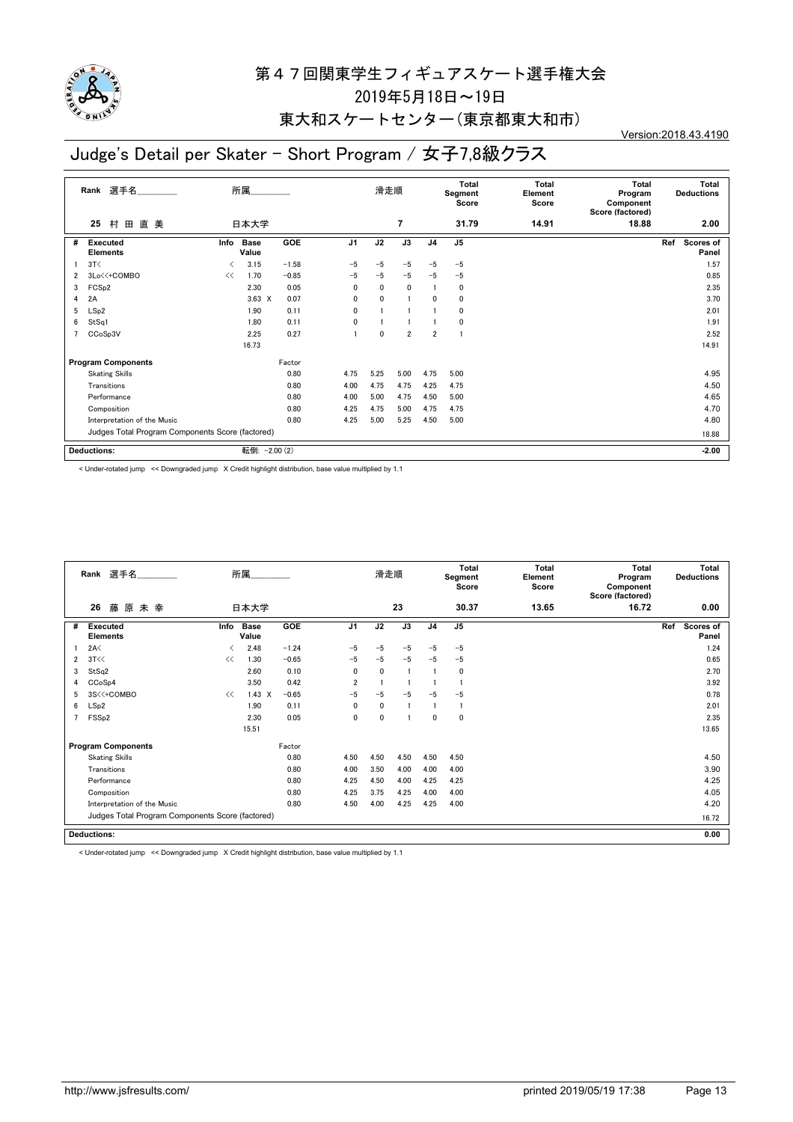

### 東大和スケートセンター(東京都東大和市)

Version:2018.43.4190

### Judge's Detail per Skater - Short Program / 女子7,8級クラス

|                                                  | 選手名<br>Rank                        |                                          | 所属                   |            |                | 滑走順          |                |                         | <b>Total</b><br>Segment<br>Score | <b>Total</b><br>Element<br>Score | <b>Total</b><br>Program<br>Component<br>Score (factored) | Total<br><b>Deductions</b> |
|--------------------------------------------------|------------------------------------|------------------------------------------|----------------------|------------|----------------|--------------|----------------|-------------------------|----------------------------------|----------------------------------|----------------------------------------------------------|----------------------------|
|                                                  | 村<br>田<br>直美<br>25                 |                                          | 日本大学                 |            |                |              | $\overline{7}$ |                         | 31.79                            | 14.91                            | 18.88                                                    | 2.00                       |
| #                                                | <b>Executed</b><br><b>Elements</b> | Info                                     | <b>Base</b><br>Value | <b>GOE</b> | J <sub>1</sub> | J2           | J3             | J <sub>4</sub>          | J <sub>5</sub>                   |                                  |                                                          | Scores of<br>Ref<br>Panel  |
|                                                  | 3T<                                | $\overline{\left\langle \right\rangle }$ | 3.15                 | $-1.58$    | $-5$           | $-5$         | $-5$           | $-5$                    | $-5$                             |                                  |                                                          | 1.57                       |
| 2                                                | 3Lo<<+COMBO                        | <<                                       | 1.70                 | $-0.85$    | $-5$           | $-5$         | $-5$           | $-5$                    | $-5$                             |                                  |                                                          | 0.85                       |
| 3                                                | FCS <sub>p2</sub>                  |                                          | 2.30                 | 0.05       | 0              | $\mathbf{0}$ | $\mathbf 0$    |                         | 0                                |                                  |                                                          | 2.35                       |
| 4                                                | 2A                                 |                                          | $3.63 \times$        | 0.07       | 0              | $\mathbf{0}$ | $\mathbf{1}$   | 0                       | 0                                |                                  |                                                          | 3.70                       |
| 5                                                | LSp2                               |                                          | 1.90                 | 0.11       | 0              |              |                |                         | 0                                |                                  |                                                          | 2.01                       |
| 6                                                | StSq1                              |                                          | 1.80                 | 0.11       | 0              |              |                |                         | 0                                |                                  |                                                          | 1.91                       |
| 7                                                | CCoSp3V                            |                                          | 2.25                 | 0.27       |                | 0            | $\overline{2}$ | $\overline{\mathbf{2}}$ |                                  |                                  |                                                          | 2.52                       |
|                                                  |                                    |                                          | 16.73                |            |                |              |                |                         |                                  |                                  |                                                          | 14.91                      |
|                                                  | <b>Program Components</b>          |                                          |                      | Factor     |                |              |                |                         |                                  |                                  |                                                          |                            |
|                                                  | <b>Skating Skills</b>              |                                          |                      | 0.80       | 4.75           | 5.25         | 5.00           | 4.75                    | 5.00                             |                                  |                                                          | 4.95                       |
|                                                  | Transitions                        |                                          |                      | 0.80       | 4.00           | 4.75         | 4.75           | 4.25                    | 4.75                             |                                  |                                                          | 4.50                       |
|                                                  | Performance                        |                                          |                      | 0.80       | 4.00           | 5.00         | 4.75           | 4.50                    | 5.00                             |                                  |                                                          | 4.65                       |
|                                                  | Composition                        |                                          |                      | 0.80       | 4.25           | 4.75         | 5.00           | 4.75                    | 4.75                             |                                  |                                                          | 4.70                       |
|                                                  | Interpretation of the Music        |                                          |                      | 0.80       | 4.25           | 5.00         | 5.25           | 4.50                    | 5.00                             |                                  |                                                          | 4.80                       |
| Judges Total Program Components Score (factored) |                                    |                                          |                      |            |                |              |                |                         |                                  |                                  |                                                          | 18.88                      |
|                                                  | <b>Deductions:</b>                 |                                          |                      | $-2.00(2)$ |                |              |                |                         |                                  |                                  |                                                          | $-2.00$                    |

< Under-rotated jump << Downgraded jump X Credit highlight distribution, base value multiplied by 1.1

|                | Rank 選手名                                         | 所属                            |                      |            |                | 滑走順          |                | <b>Total</b><br>Segment<br>Score |       | Total<br>Element<br>Score | Total<br>Program<br>Component<br>Score (factored) | <b>Total</b><br><b>Deductions</b> |
|----------------|--------------------------------------------------|-------------------------------|----------------------|------------|----------------|--------------|----------------|----------------------------------|-------|---------------------------|---------------------------------------------------|-----------------------------------|
|                | 藤原未幸<br>26                                       |                               | 日本大学                 |            |                |              | 23             |                                  | 30.37 | 13.65                     | 16.72                                             | 0.00                              |
| #              | <b>Executed</b><br><b>Elements</b>               | Info                          | <b>Base</b><br>Value | <b>GOE</b> | J <sub>1</sub> | J2           | J3             | J <sub>4</sub>                   | J5    |                           |                                                   | Ref<br><b>Scores of</b><br>Panel  |
|                | 2A<                                              | $\overline{\left( \right. }%$ | 2.48                 | $-1.24$    | $-5$           | $-5$         | $-5$           | $-5$                             | $-5$  |                           |                                                   | 1.24                              |
| $\overline{2}$ | 3T<<                                             | <<                            | 1.30                 | $-0.65$    | $-5$           | $-5$         | $-5$           | $-5$                             | $-5$  |                           |                                                   | 0.65                              |
| 3              | StSq2                                            |                               | 2.60                 | 0.10       | $\mathbf{0}$   | $\mathbf{0}$ | $\overline{1}$ | 1                                | 0     |                           |                                                   | 2.70                              |
| 4              | CCoSp4                                           |                               | 3.50                 | 0.42       | $\overline{2}$ |              |                |                                  |       |                           |                                                   | 3.92                              |
| 5              | 3S<<+COMBO                                       | <<                            | $1.43 \times$        | $-0.65$    | $-5$           | $-5$         | $-5$           | $-5$                             | $-5$  |                           |                                                   | 0.78                              |
| 6              | LSp2                                             |                               | 1.90                 | 0.11       | $\mathbf{0}$   | $\mathbf{0}$ |                |                                  |       |                           |                                                   | 2.01                              |
| $\overline{7}$ | FSS <sub>p2</sub>                                |                               | 2.30                 | 0.05       | 0              | 0            |                | 0                                | 0     |                           |                                                   | 2.35                              |
|                |                                                  |                               | 15.51                |            |                |              |                |                                  |       |                           |                                                   | 13.65                             |
|                | <b>Program Components</b>                        |                               |                      | Factor     |                |              |                |                                  |       |                           |                                                   |                                   |
|                | <b>Skating Skills</b>                            |                               |                      | 0.80       | 4.50           | 4.50         | 4.50           | 4.50                             | 4.50  |                           |                                                   | 4.50                              |
|                | Transitions                                      |                               |                      | 0.80       | 4.00           | 3.50         | 4.00           | 4.00                             | 4.00  |                           |                                                   | 3.90                              |
|                | Performance                                      |                               |                      | 0.80       | 4.25           | 4.50         | 4.00           | 4.25                             | 4.25  |                           |                                                   | 4.25                              |
|                | Composition                                      |                               |                      | 0.80       | 4.25           | 3.75         | 4.25           | 4.00                             | 4.00  |                           |                                                   | 4.05                              |
|                | Interpretation of the Music                      |                               |                      | 0.80       | 4.50           | 4.00         | 4.25           | 4.25                             | 4.00  |                           |                                                   | 4.20                              |
|                | Judges Total Program Components Score (factored) |                               |                      |            |                |              |                |                                  |       |                           |                                                   | 16.72                             |
|                | <b>Deductions:</b>                               |                               |                      |            |                |              |                |                                  |       |                           |                                                   | 0.00                              |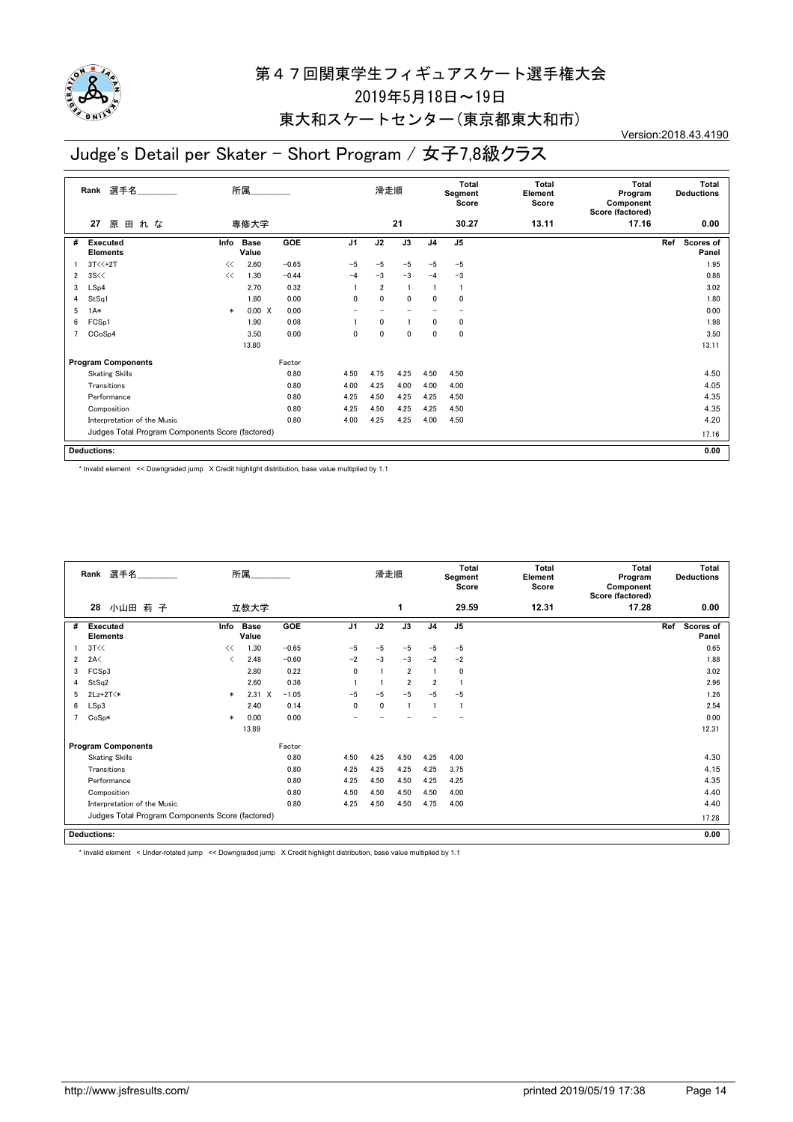

### 東大和スケートセンター(東京都東大和市)

#### Version:2018.43.4190

### Judge's Detail per Skater - Short Program / 女子7,8級クラス

|   | 選手名<br>所属<br>Rank                                |        |                      |            |                          | 滑走順            |                          | Total<br>Segment<br>Score |                | <b>Total</b><br>Element<br>Score | <b>Total</b><br>Program<br>Component<br>Score (factored) | Total<br><b>Deductions</b> |
|---|--------------------------------------------------|--------|----------------------|------------|--------------------------|----------------|--------------------------|---------------------------|----------------|----------------------------------|----------------------------------------------------------|----------------------------|
|   | 原田れな<br>27                                       |        | 専修大学                 |            |                          |                | 21                       |                           | 30.27          | 13.11                            | 17.16                                                    | 0.00                       |
| # | <b>Executed</b><br><b>Elements</b>               | Info   | <b>Base</b><br>Value | <b>GOE</b> | J <sub>1</sub>           | J2             | $\overline{J3}$          | J <sub>4</sub>            | J <sub>5</sub> |                                  |                                                          | Ref<br>Scores of<br>Panel  |
|   | $3T \times 12T$                                  | <<     | 2.60                 | $-0.65$    | $-5$                     | $-5$           | $-5$                     | $-5$                      | $-5$           |                                  |                                                          | 1.95                       |
| 2 | 3S <                                             | <<     | 1.30                 | $-0.44$    | $-4$                     | $-3$           | $-3$                     | $-4$                      | $-3$           |                                  |                                                          | 0.86                       |
| 3 | LSp4                                             |        | 2.70                 | 0.32       |                          | $\overline{2}$ |                          |                           | $\overline{1}$ |                                  |                                                          | 3.02                       |
| 4 | StSq1                                            |        | 1.80                 | 0.00       | 0                        | $\mathbf{0}$   | 0                        | 0                         | 0              |                                  |                                                          | 1.80                       |
| 5 | $1A*$                                            | $\ast$ | $0.00 \quad X$       | 0.00       | $\overline{\phantom{0}}$ |                | $\overline{\phantom{0}}$ |                           | -              |                                  |                                                          | 0.00                       |
| 6 | FCSp1                                            |        | 1.90                 | 0.08       |                          | 0              | $\mathbf{1}$             | 0                         | 0              |                                  |                                                          | 1.98                       |
| 7 | CCoSp4                                           |        | 3.50                 | 0.00       | 0                        | $\Omega$       | $\mathbf 0$              | 0                         | 0              |                                  |                                                          | 3.50                       |
|   |                                                  |        | 13.80                |            |                          |                |                          |                           |                |                                  |                                                          | 13.11                      |
|   | <b>Program Components</b>                        |        |                      | Factor     |                          |                |                          |                           |                |                                  |                                                          |                            |
|   | <b>Skating Skills</b>                            |        |                      | 0.80       | 4.50                     | 4.75           | 4.25                     | 4.50                      | 4.50           |                                  |                                                          | 4.50                       |
|   | Transitions                                      |        |                      | 0.80       | 4.00                     | 4.25           | 4.00                     | 4.00                      | 4.00           |                                  |                                                          | 4.05                       |
|   | Performance                                      |        |                      | 0.80       | 4.25                     | 4.50           | 4.25                     | 4.25                      | 4.50           |                                  |                                                          | 4.35                       |
|   | Composition                                      |        |                      | 0.80       | 4.25                     | 4.50           | 4.25                     | 4.25                      | 4.50           |                                  |                                                          | 4.35                       |
|   | Interpretation of the Music                      |        |                      | 0.80       | 4.00                     | 4.25           | 4.25                     | 4.00                      | 4.50           |                                  |                                                          | 4.20                       |
|   | Judges Total Program Components Score (factored) |        |                      |            |                          |                |                          |                           |                |                                  |                                                          | 17.16                      |
|   | <b>Deductions:</b>                               |        |                      |            |                          |                |                          |                           |                |                                  |                                                          | 0.00                       |

\* Invalid element << Downgraded jump X Credit highlight distribution, base value multiplied by 1.1

| Rank 選手名 |                                                  |        | 所属                   |         |                | 滑走順         |                | Total<br>Segment<br>Score |                | Total<br>Element<br>Score | Total<br>Program<br>Component<br>Score (factored) | Total<br><b>Deductions</b>       |
|----------|--------------------------------------------------|--------|----------------------|---------|----------------|-------------|----------------|---------------------------|----------------|---------------------------|---------------------------------------------------|----------------------------------|
|          | 28<br>小山田 莉子                                     |        | 立教大学                 |         |                |             | 1              |                           | 29.59          | 12.31                     | 17.28                                             | 0.00                             |
| #        | <b>Executed</b><br><b>Elements</b>               | Info   | <b>Base</b><br>Value | GOE     | J <sub>1</sub> | J2          | J3             | J <sub>4</sub>            | J <sub>5</sub> |                           |                                                   | Ref<br><b>Scores of</b><br>Panel |
|          | 3T<<                                             | <<     | 1.30                 | $-0.65$ | $-5$           | $-5$        | $-5$           | $-5$                      | $-5$           |                           |                                                   | 0.65                             |
| 2        | 2A<                                              |        | 2.48                 | $-0.60$ | $-2$           | $-3$        | $-3$           | $-2$                      | $-2$           |                           |                                                   | 1.88                             |
| 3        | FCSp3                                            |        | 2.80                 | 0.22    | $\mathbf{0}$   |             | $\overline{2}$ |                           | $\mathbf 0$    |                           |                                                   | 3.02                             |
| 4        | StSq2                                            |        | 2.60                 | 0.36    |                |             | $\overline{2}$ | $\overline{2}$            |                |                           |                                                   | 2.96                             |
| 5        | $2Lz+2T$                                         | $\ast$ | $2.31 \t X$          | $-1.05$ | $-5$           | $-5$        | $-5$           | $-5$                      | $-5$           |                           |                                                   | 1.26                             |
| 6        | LSp3                                             |        | 2.40                 | 0.14    | $\mathbf{0}$   | $\mathbf 0$ | 1              |                           |                |                           |                                                   | 2.54                             |
|          | $CoSp*$                                          | $\ast$ | 0.00                 | 0.00    |                |             |                |                           |                |                           |                                                   | 0.00                             |
|          |                                                  |        | 13.89                |         |                |             |                |                           |                |                           |                                                   | 12.31                            |
|          | <b>Program Components</b>                        |        |                      | Factor  |                |             |                |                           |                |                           |                                                   |                                  |
|          | <b>Skating Skills</b>                            |        |                      | 0.80    | 4.50           | 4.25        | 4.50           | 4.25                      | 4.00           |                           |                                                   | 4.30                             |
|          | Transitions                                      |        |                      | 0.80    | 4.25           | 4.25        | 4.25           | 4.25                      | 3.75           |                           |                                                   | 4.15                             |
|          | Performance                                      |        |                      | 0.80    | 4.25           | 4.50        | 4.50           | 4.25                      | 4.25           |                           |                                                   | 4.35                             |
|          | Composition                                      |        |                      | 0.80    | 4.50           | 4.50        | 4.50           | 4.50                      | 4.00           |                           |                                                   | 4.40                             |
|          | Interpretation of the Music                      |        |                      | 0.80    | 4.25           | 4.50        | 4.50           | 4.75                      | 4.00           |                           |                                                   | 4.40                             |
|          | Judges Total Program Components Score (factored) |        |                      |         |                |             |                |                           |                |                           |                                                   | 17.28                            |
|          | <b>Deductions:</b>                               |        |                      |         |                |             |                |                           |                |                           |                                                   | 0.00                             |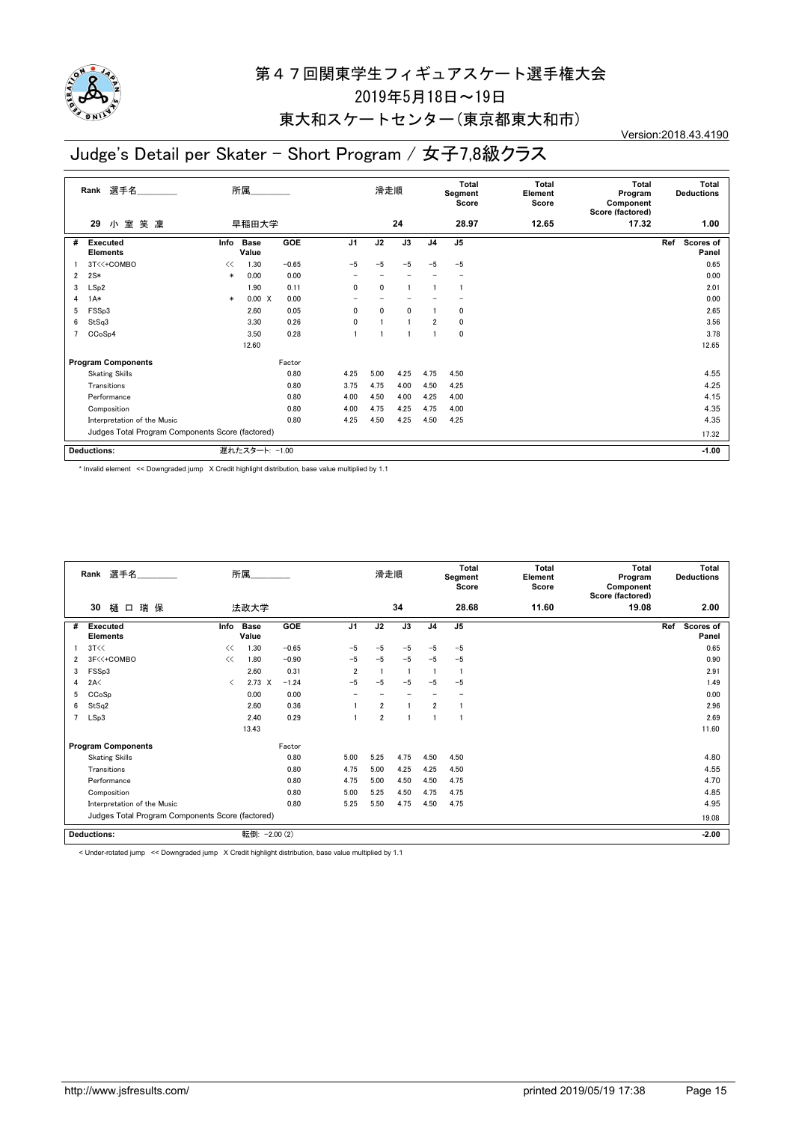

### 東大和スケートセンター(東京都東大和市)

#### Version:2018.43.4190

# Judge's Detail per Skater - Short Program / 女子7,8級クラス

| 選手名<br>Rank    |                                                  |        | 所属             |            |                          | 滑走順          |                | <b>Total</b><br>Segment<br>Score |                | <b>Total</b><br>Element<br>Score | <b>Total</b><br>Program<br>Component<br>Score (factored) | <b>Total</b><br><b>Deductions</b> |
|----------------|--------------------------------------------------|--------|----------------|------------|--------------------------|--------------|----------------|----------------------------------|----------------|----------------------------------|----------------------------------------------------------|-----------------------------------|
|                | 小室<br>笑 凜<br>29                                  |        | 早稲田大学          |            |                          |              | 24             |                                  | 28.97          | 12.65                            | 17.32                                                    | 1.00                              |
| #              | <b>Executed</b><br><b>Elements</b>               | Info   | Base<br>Value  | <b>GOE</b> | J <sub>1</sub>           | J2           | J3             | J <sub>4</sub>                   | J <sub>5</sub> |                                  |                                                          | Ref<br>Scores of<br>Panel         |
|                | 3T<<+COMBO                                       | <<     | 1.30           | $-0.65$    | $-5$                     | $-5$         | $-5$           | $-5$                             | $-5$           |                                  |                                                          | 0.65                              |
| $\overline{2}$ | $2S*$                                            | $\ast$ | 0.00           | 0.00       | $\overline{\phantom{0}}$ |              |                |                                  |                |                                  |                                                          | 0.00                              |
| 3              | LSp2                                             |        | 1.90           | 0.11       | 0                        | 0            |                |                                  |                |                                  |                                                          | 2.01                              |
| 4              | $1A*$                                            | $\ast$ | 0.00 X         | 0.00       |                          |              |                |                                  |                |                                  |                                                          | 0.00                              |
| 5              | FSSp3                                            |        | 2.60           | 0.05       | 0                        | $\mathbf{0}$ | 0              |                                  | 0              |                                  |                                                          | 2.65                              |
| 6              | StSq3                                            |        | 3.30           | 0.26       | 0                        |              | $\overline{1}$ | $\overline{2}$                   | 0              |                                  |                                                          | 3.56                              |
| 7              | CCoSp4                                           |        | 3.50           | 0.28       |                          |              |                |                                  | $\mathbf 0$    |                                  |                                                          | 3.78                              |
|                |                                                  |        | 12.60          |            |                          |              |                |                                  |                |                                  |                                                          | 12.65                             |
|                | <b>Program Components</b>                        |        |                | Factor     |                          |              |                |                                  |                |                                  |                                                          |                                   |
|                | <b>Skating Skills</b>                            |        |                | 0.80       | 4.25                     | 5.00         | 4.25           | 4.75                             | 4.50           |                                  |                                                          | 4.55                              |
|                | Transitions                                      |        |                | 0.80       | 3.75                     | 4.75         | 4.00           | 4.50                             | 4.25           |                                  |                                                          | 4.25                              |
|                | Performance                                      |        |                | 0.80       | 4.00                     | 4.50         | 4.00           | 4.25                             | 4.00           |                                  |                                                          | 4.15                              |
|                | Composition                                      |        |                | 0.80       | 4.00                     | 4.75         | 4.25           | 4.75                             | 4.00           |                                  |                                                          | 4.35                              |
|                | Interpretation of the Music                      |        |                | 0.80       | 4.25                     | 4.50         | 4.25           | 4.50                             | 4.25           |                                  |                                                          | 4.35                              |
|                | Judges Total Program Components Score (factored) |        |                |            |                          |              |                |                                  |                |                                  |                                                          | 17.32                             |
|                | <b>Deductions:</b>                               |        | 遅れたスタート: -1.00 |            |                          |              |                |                                  |                |                                  |                                                          | $-1.00$                           |

\* Invalid element << Downgraded jump X Credit highlight distribution, base value multiplied by 1.1

|                | Rank 選手名                                         |      | 所属                   |            |                          | 滑走順            |      |                | Total<br>Segment<br>Score | Total<br>Element<br>Score | Total<br>Program<br>Component<br>Score (factored) | Total<br><b>Deductions</b> |  |
|----------------|--------------------------------------------------|------|----------------------|------------|--------------------------|----------------|------|----------------|---------------------------|---------------------------|---------------------------------------------------|----------------------------|--|
|                | 樋口瑞保<br>30                                       |      | 法政大学                 |            |                          |                | 34   |                | 28.68                     | 11.60                     | 19.08                                             | 2.00                       |  |
| #              | <b>Executed</b><br><b>Elements</b>               | Info | <b>Base</b><br>Value | GOE        | J <sub>1</sub>           | J2             | J3   | J <sub>4</sub> | J <sub>5</sub>            |                           |                                                   | Ref<br>Scores of<br>Panel  |  |
|                | 3T<<                                             | <<   | 1.30                 | $-0.65$    | $-5$                     | $-5$           | $-5$ | $-5$           | $-5$                      |                           |                                                   | 0.65                       |  |
| $\overline{2}$ | 3F<<+COMBO                                       | <<   | 1.80                 | $-0.90$    | $-5$                     | $-5$           | $-5$ | $-5$           | $-5$                      |                           |                                                   | 0.90                       |  |
| 3              | FSSp3                                            |      | 2.60                 | 0.31       | $\overline{2}$           |                |      |                | -1                        |                           |                                                   | 2.91                       |  |
| 4              | 2A<                                              | ≺    | $2.73 \times$        | $-1.24$    | $-5$                     | $-5$           | $-5$ | $-5$           | $-5$                      |                           |                                                   | 1.49                       |  |
| 5              | CCoSp                                            |      | 0.00                 | 0.00       | $\overline{\phantom{0}}$ |                |      |                |                           |                           |                                                   | 0.00                       |  |
| 6              | StSq2                                            |      | 2.60                 | 0.36       |                          | $\overline{2}$ |      | $\overline{2}$ |                           |                           |                                                   | 2.96                       |  |
| 7              | LSp3                                             |      | 2.40                 | 0.29       |                          | $\overline{2}$ |      |                |                           |                           |                                                   | 2.69                       |  |
|                |                                                  |      | 13.43                |            |                          |                |      |                |                           |                           |                                                   | 11.60                      |  |
|                | <b>Program Components</b>                        |      |                      | Factor     |                          |                |      |                |                           |                           |                                                   |                            |  |
|                | <b>Skating Skills</b>                            |      |                      | 0.80       | 5.00                     | 5.25           | 4.75 | 4.50           | 4.50                      |                           |                                                   | 4.80                       |  |
|                | Transitions                                      |      |                      | 0.80       | 4.75                     | 5.00           | 4.25 | 4.25           | 4.50                      |                           |                                                   | 4.55                       |  |
|                | Performance                                      |      |                      | 0.80       | 4.75                     | 5.00           | 4.50 | 4.50           | 4.75                      |                           |                                                   | 4.70                       |  |
|                | Composition                                      |      |                      | 0.80       | 5.00                     | 5.25           | 4.50 | 4.75           | 4.75                      |                           |                                                   | 4.85                       |  |
|                | Interpretation of the Music                      |      |                      | 0.80       | 5.25                     | 5.50           | 4.75 | 4.50           | 4.75                      |                           |                                                   | 4.95                       |  |
|                | Judges Total Program Components Score (factored) |      |                      |            |                          |                |      |                |                           |                           |                                                   | 19.08                      |  |
|                | <b>Deductions:</b>                               |      | 転倒:                  | $-2.00(2)$ |                          |                |      |                |                           |                           |                                                   | $-2.00$                    |  |